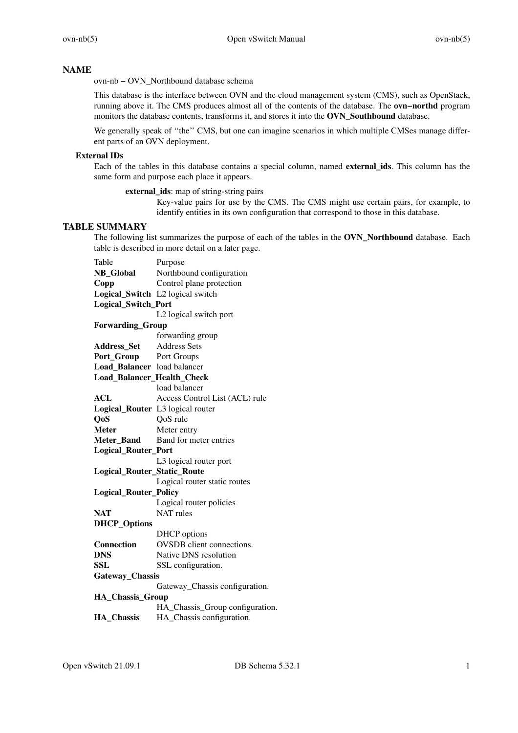# **NAME**

ovn-nb − OVN\_Northbound database schema

This database is the interface between OVN and the cloud management system (CMS), such as OpenStack, running above it. The CMS produces almost all of the contents of the database. The **ovn−northd** program monitors the database contents, transforms it, and stores it into the **OVN\_Southbound** database.

We generally speak of "the" CMS, but one can imagine scenarios in which multiple CMSes manage different parts of an OVN deployment.

### **External IDs**

Each of the tables in this database contains a special column, named **external\_ids**. This column has the same form and purpose each place it appears.

**external\_ids**: map of string-string pairs

Key-value pairs for use by the CMS. The CMS might use certain pairs, for example, to identify entities in its own configuration that correspond to those in this database.

# **TABLE SUMMARY**

The following list summarizes the purpose of each of the tables in the **OVN\_Northbound** database. Each table is described in more detail on a later page.

| Table                        | Purpose                          |
|------------------------------|----------------------------------|
| <b>NB_Global</b>             | Northbound configuration         |
| Copp                         | Control plane protection         |
|                              | Logical_Switch L2 logical switch |
| <b>Logical_Switch_Port</b>   |                                  |
|                              | L2 logical switch port           |
| <b>Forwarding_Group</b>      |                                  |
|                              | forwarding group                 |
| <b>Address_Set</b>           | <b>Address Sets</b>              |
| Port_Group Port Groups       |                                  |
| Load_Balancer load balancer  |                                  |
| Load_Balancer_Health_Check   |                                  |
|                              | load balancer                    |
| ACL                          | Access Control List (ACL) rule   |
|                              | Logical_Router L3 logical router |
| Q <sub>o</sub> S             | QoS rule                         |
| <b>Meter</b>                 | Meter entry                      |
| Meter_Band                   | Band for meter entries           |
| Logical_Router_Port          |                                  |
|                              | L3 logical router port           |
| Logical_Router_Static_Route  |                                  |
|                              | Logical router static routes     |
| <b>Logical_Router_Policy</b> |                                  |
|                              | Logical router policies          |
| <b>NAT</b>                   | <b>NAT</b> rules                 |
| <b>DHCP_Options</b>          |                                  |
|                              | DHCP options                     |
| <b>Connection</b>            | OVSDB client connections.        |
| <b>DNS</b>                   | Native DNS resolution            |
| <b>SSL</b>                   | SSL configuration.               |
| Gateway_Chassis              |                                  |
|                              | Gateway_Chassis configuration.   |
| <b>HA_Chassis_Group</b>      |                                  |
|                              | HA_Chassis_Group configuration.  |
| <b>HA Chassis</b>            | HA_Chassis configuration.        |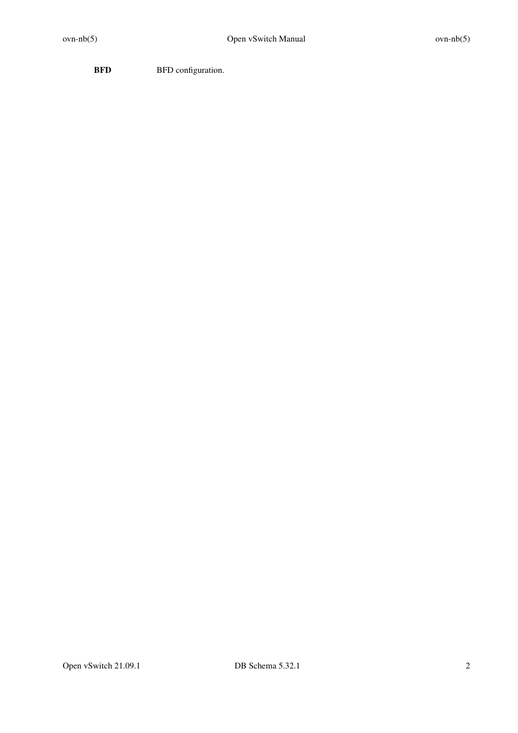**BFD** BFD configuration.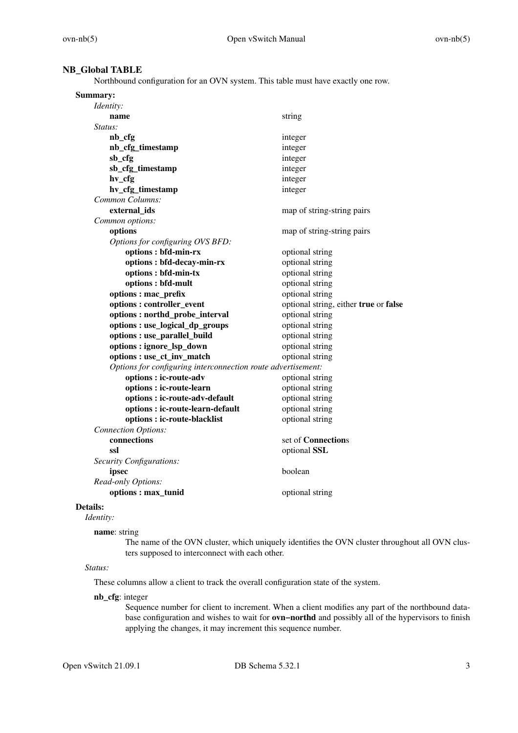# **NB\_Global TABLE**

Northbound configuration for an OVN system. This table must have exactly one row.

| Identity:<br>string<br>name<br>Status:<br>nb_cfg<br>integer<br>nb_cfg_timestamp<br>integer<br>sb_cfg<br>integer<br>sb_cfg_timestamp<br>integer<br>hv_cfg<br>integer<br>hv_cfg_timestamp<br>integer<br>Common Columns:<br>external ids<br>map of string-string pairs<br>Common options:<br>options<br>map of string-string pairs<br>Options for configuring OVS BFD:<br>options : bfd-min-rx<br>optional string<br>optional string<br>options : bfd-decay-min-rx<br>options : bfd-min-tx<br>optional string<br>options : bfd-mult<br>optional string<br>options : mac_prefix<br>optional string<br>options: controller_event<br>optional string, either true or false<br>options: northd_probe_interval<br>optional string<br>optional string<br>options : use_logical_dp_groups<br>options : use_parallel_build<br>optional string<br>options : ignore_lsp_down<br>optional string<br>options : use_ct_inv_match<br>optional string<br>Options for configuring interconnection route advertisement:<br>options : ic-route-adv<br>optional string<br>options : ic-route-learn<br>optional string<br>options : ic-route-adv-default<br>optional string<br>optional string<br>options : ic-route-learn-default<br>optional string<br>options : ic-route-blacklist<br><b>Connection Options:</b><br>connections<br>set of Connections<br>ssl<br>optional SSL<br>Security Configurations:<br>boolean<br>ipsec<br>Read-only Options:<br>options: max_tunid<br>optional string | Summary: |  |
|-------------------------------------------------------------------------------------------------------------------------------------------------------------------------------------------------------------------------------------------------------------------------------------------------------------------------------------------------------------------------------------------------------------------------------------------------------------------------------------------------------------------------------------------------------------------------------------------------------------------------------------------------------------------------------------------------------------------------------------------------------------------------------------------------------------------------------------------------------------------------------------------------------------------------------------------------------------------------------------------------------------------------------------------------------------------------------------------------------------------------------------------------------------------------------------------------------------------------------------------------------------------------------------------------------------------------------------------------------------------------------------------------------------------------------------------------------------------------|----------|--|
|                                                                                                                                                                                                                                                                                                                                                                                                                                                                                                                                                                                                                                                                                                                                                                                                                                                                                                                                                                                                                                                                                                                                                                                                                                                                                                                                                                                                                                                                         |          |  |
|                                                                                                                                                                                                                                                                                                                                                                                                                                                                                                                                                                                                                                                                                                                                                                                                                                                                                                                                                                                                                                                                                                                                                                                                                                                                                                                                                                                                                                                                         |          |  |
|                                                                                                                                                                                                                                                                                                                                                                                                                                                                                                                                                                                                                                                                                                                                                                                                                                                                                                                                                                                                                                                                                                                                                                                                                                                                                                                                                                                                                                                                         |          |  |
|                                                                                                                                                                                                                                                                                                                                                                                                                                                                                                                                                                                                                                                                                                                                                                                                                                                                                                                                                                                                                                                                                                                                                                                                                                                                                                                                                                                                                                                                         |          |  |
|                                                                                                                                                                                                                                                                                                                                                                                                                                                                                                                                                                                                                                                                                                                                                                                                                                                                                                                                                                                                                                                                                                                                                                                                                                                                                                                                                                                                                                                                         |          |  |
|                                                                                                                                                                                                                                                                                                                                                                                                                                                                                                                                                                                                                                                                                                                                                                                                                                                                                                                                                                                                                                                                                                                                                                                                                                                                                                                                                                                                                                                                         |          |  |
|                                                                                                                                                                                                                                                                                                                                                                                                                                                                                                                                                                                                                                                                                                                                                                                                                                                                                                                                                                                                                                                                                                                                                                                                                                                                                                                                                                                                                                                                         |          |  |
|                                                                                                                                                                                                                                                                                                                                                                                                                                                                                                                                                                                                                                                                                                                                                                                                                                                                                                                                                                                                                                                                                                                                                                                                                                                                                                                                                                                                                                                                         |          |  |
|                                                                                                                                                                                                                                                                                                                                                                                                                                                                                                                                                                                                                                                                                                                                                                                                                                                                                                                                                                                                                                                                                                                                                                                                                                                                                                                                                                                                                                                                         |          |  |
|                                                                                                                                                                                                                                                                                                                                                                                                                                                                                                                                                                                                                                                                                                                                                                                                                                                                                                                                                                                                                                                                                                                                                                                                                                                                                                                                                                                                                                                                         |          |  |
|                                                                                                                                                                                                                                                                                                                                                                                                                                                                                                                                                                                                                                                                                                                                                                                                                                                                                                                                                                                                                                                                                                                                                                                                                                                                                                                                                                                                                                                                         |          |  |
|                                                                                                                                                                                                                                                                                                                                                                                                                                                                                                                                                                                                                                                                                                                                                                                                                                                                                                                                                                                                                                                                                                                                                                                                                                                                                                                                                                                                                                                                         |          |  |
|                                                                                                                                                                                                                                                                                                                                                                                                                                                                                                                                                                                                                                                                                                                                                                                                                                                                                                                                                                                                                                                                                                                                                                                                                                                                                                                                                                                                                                                                         |          |  |
|                                                                                                                                                                                                                                                                                                                                                                                                                                                                                                                                                                                                                                                                                                                                                                                                                                                                                                                                                                                                                                                                                                                                                                                                                                                                                                                                                                                                                                                                         |          |  |
|                                                                                                                                                                                                                                                                                                                                                                                                                                                                                                                                                                                                                                                                                                                                                                                                                                                                                                                                                                                                                                                                                                                                                                                                                                                                                                                                                                                                                                                                         |          |  |
|                                                                                                                                                                                                                                                                                                                                                                                                                                                                                                                                                                                                                                                                                                                                                                                                                                                                                                                                                                                                                                                                                                                                                                                                                                                                                                                                                                                                                                                                         |          |  |
|                                                                                                                                                                                                                                                                                                                                                                                                                                                                                                                                                                                                                                                                                                                                                                                                                                                                                                                                                                                                                                                                                                                                                                                                                                                                                                                                                                                                                                                                         |          |  |
|                                                                                                                                                                                                                                                                                                                                                                                                                                                                                                                                                                                                                                                                                                                                                                                                                                                                                                                                                                                                                                                                                                                                                                                                                                                                                                                                                                                                                                                                         |          |  |
|                                                                                                                                                                                                                                                                                                                                                                                                                                                                                                                                                                                                                                                                                                                                                                                                                                                                                                                                                                                                                                                                                                                                                                                                                                                                                                                                                                                                                                                                         |          |  |
|                                                                                                                                                                                                                                                                                                                                                                                                                                                                                                                                                                                                                                                                                                                                                                                                                                                                                                                                                                                                                                                                                                                                                                                                                                                                                                                                                                                                                                                                         |          |  |
|                                                                                                                                                                                                                                                                                                                                                                                                                                                                                                                                                                                                                                                                                                                                                                                                                                                                                                                                                                                                                                                                                                                                                                                                                                                                                                                                                                                                                                                                         |          |  |
|                                                                                                                                                                                                                                                                                                                                                                                                                                                                                                                                                                                                                                                                                                                                                                                                                                                                                                                                                                                                                                                                                                                                                                                                                                                                                                                                                                                                                                                                         |          |  |
|                                                                                                                                                                                                                                                                                                                                                                                                                                                                                                                                                                                                                                                                                                                                                                                                                                                                                                                                                                                                                                                                                                                                                                                                                                                                                                                                                                                                                                                                         |          |  |
|                                                                                                                                                                                                                                                                                                                                                                                                                                                                                                                                                                                                                                                                                                                                                                                                                                                                                                                                                                                                                                                                                                                                                                                                                                                                                                                                                                                                                                                                         |          |  |
|                                                                                                                                                                                                                                                                                                                                                                                                                                                                                                                                                                                                                                                                                                                                                                                                                                                                                                                                                                                                                                                                                                                                                                                                                                                                                                                                                                                                                                                                         |          |  |
|                                                                                                                                                                                                                                                                                                                                                                                                                                                                                                                                                                                                                                                                                                                                                                                                                                                                                                                                                                                                                                                                                                                                                                                                                                                                                                                                                                                                                                                                         |          |  |
|                                                                                                                                                                                                                                                                                                                                                                                                                                                                                                                                                                                                                                                                                                                                                                                                                                                                                                                                                                                                                                                                                                                                                                                                                                                                                                                                                                                                                                                                         |          |  |
|                                                                                                                                                                                                                                                                                                                                                                                                                                                                                                                                                                                                                                                                                                                                                                                                                                                                                                                                                                                                                                                                                                                                                                                                                                                                                                                                                                                                                                                                         |          |  |
|                                                                                                                                                                                                                                                                                                                                                                                                                                                                                                                                                                                                                                                                                                                                                                                                                                                                                                                                                                                                                                                                                                                                                                                                                                                                                                                                                                                                                                                                         |          |  |
|                                                                                                                                                                                                                                                                                                                                                                                                                                                                                                                                                                                                                                                                                                                                                                                                                                                                                                                                                                                                                                                                                                                                                                                                                                                                                                                                                                                                                                                                         |          |  |
|                                                                                                                                                                                                                                                                                                                                                                                                                                                                                                                                                                                                                                                                                                                                                                                                                                                                                                                                                                                                                                                                                                                                                                                                                                                                                                                                                                                                                                                                         |          |  |
|                                                                                                                                                                                                                                                                                                                                                                                                                                                                                                                                                                                                                                                                                                                                                                                                                                                                                                                                                                                                                                                                                                                                                                                                                                                                                                                                                                                                                                                                         |          |  |
|                                                                                                                                                                                                                                                                                                                                                                                                                                                                                                                                                                                                                                                                                                                                                                                                                                                                                                                                                                                                                                                                                                                                                                                                                                                                                                                                                                                                                                                                         |          |  |
|                                                                                                                                                                                                                                                                                                                                                                                                                                                                                                                                                                                                                                                                                                                                                                                                                                                                                                                                                                                                                                                                                                                                                                                                                                                                                                                                                                                                                                                                         |          |  |
|                                                                                                                                                                                                                                                                                                                                                                                                                                                                                                                                                                                                                                                                                                                                                                                                                                                                                                                                                                                                                                                                                                                                                                                                                                                                                                                                                                                                                                                                         |          |  |
|                                                                                                                                                                                                                                                                                                                                                                                                                                                                                                                                                                                                                                                                                                                                                                                                                                                                                                                                                                                                                                                                                                                                                                                                                                                                                                                                                                                                                                                                         |          |  |
|                                                                                                                                                                                                                                                                                                                                                                                                                                                                                                                                                                                                                                                                                                                                                                                                                                                                                                                                                                                                                                                                                                                                                                                                                                                                                                                                                                                                                                                                         |          |  |
|                                                                                                                                                                                                                                                                                                                                                                                                                                                                                                                                                                                                                                                                                                                                                                                                                                                                                                                                                                                                                                                                                                                                                                                                                                                                                                                                                                                                                                                                         |          |  |

# **Details:**

*Identity:*

**name**: string

The name of the OVN cluster, which uniquely identifies the OVN cluster throughout all OVN clusters supposed to interconnect with each other.

# *Status:*

These columns allow a client to track the overall configuration state of the system.

# **nb\_cfg**: integer

Sequence number for client to increment. When a client modifies any part of the northbound database configuration and wishes to wait for **ovn−northd** and possibly all of the hypervisors to finish applying the changes, it may increment this sequence number.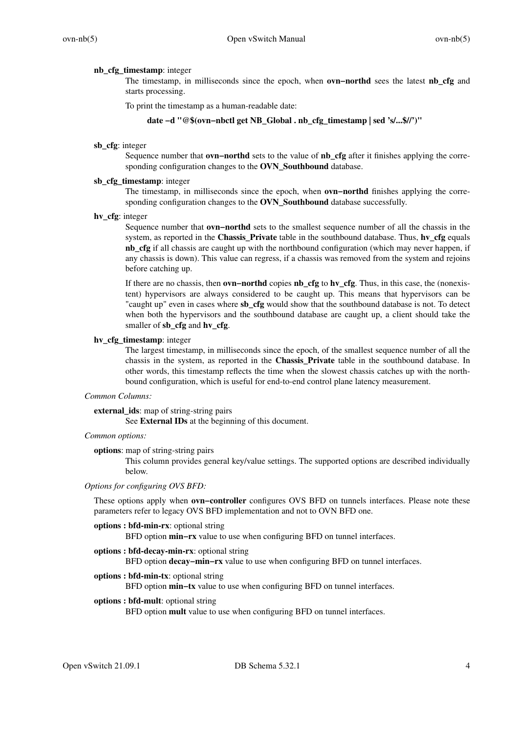### **nb\_cfg\_timestamp**: integer

The timestamp, in milliseconds since the epoch, when **ovn−northd** sees the latest **nb\_cfg** and starts processing.

To print the timestamp as a human-readable date:

## **date −d "@\$(ovn−nbctl get NB\_Global . nb\_cfg\_timestamp | sed 's/...\$//')"**

### **sb\_cfg**: integer

Sequence number that **ovn−northd** sets to the value of **nb\_cfg** after it finishes applying the corresponding configuration changes to the **OVN\_Southbound** database.

# **sb\_cfg\_timestamp**: integer

The timestamp, in milliseconds since the epoch, when **ovn−northd** finishes applying the corresponding configuration changes to the **OVN\_Southbound** database successfully.

**hv\_cfg**: integer

Sequence number that **ovn−northd** sets to the smallest sequence number of all the chassis in the system, as reported in the **Chassis\_Private** table in the southbound database. Thus, **hv\_cfg** equals **nb\_cfg** if all chassis are caught up with the northbound configuration (which may never happen, if any chassis is down). This value can regress, if a chassis was removed from the system and rejoins before catching up.

If there are no chassis, then **ovn−northd** copies **nb\_cfg** to **hv\_cfg**. Thus, in this case, the (nonexistent) hypervisors are always considered to be caught up. This means that hypervisors can be "caught up" even in cases where **sb\_cfg** would show that the southbound database is not. To detect when both the hypervisors and the southbound database are caught up, a client should take the smaller of **sb\_cfg** and **hv\_cfg**.

### **hv\_cfg\_timestamp**: integer

The largest timestamp, in milliseconds since the epoch, of the smallest sequence number of all the chassis in the system, as reported in the **Chassis\_Private** table in the southbound database. In other words, this timestamp reflects the time when the slowest chassis catches up with the northbound configuration, which is useful for end-to-end control plane latency measurement.

# *Common Columns:*

### **external\_ids**: map of string-string pairs

See **External IDs** at the beginning of this document.

# *Common options:*

### **options**: map of string-string pairs

This column provides general key/value settings. The supported options are described individually below.

### *Options for configuring OVS BFD:*

These options apply when **ovn−controller** configures OVS BFD on tunnels interfaces. Please note these parameters refer to legacy OVS BFD implementation and not to OVN BFD one.

### **options : bfd-min-rx**: optional string

BFD option **min–rx** value to use when configuring BFD on tunnel interfaces.

### **options : bfd-decay-min-rx**: optional string

BFD option **decay–min–rx** value to use when configuring BFD on tunnel interfaces.

## **options : bfd-min-tx**: optional string

BFD option **min–tx** value to use when configuring BFD on tunnel interfaces.

## **options : bfd-mult**: optional string

BFD option **mult** value to use when configuring BFD on tunnel interfaces.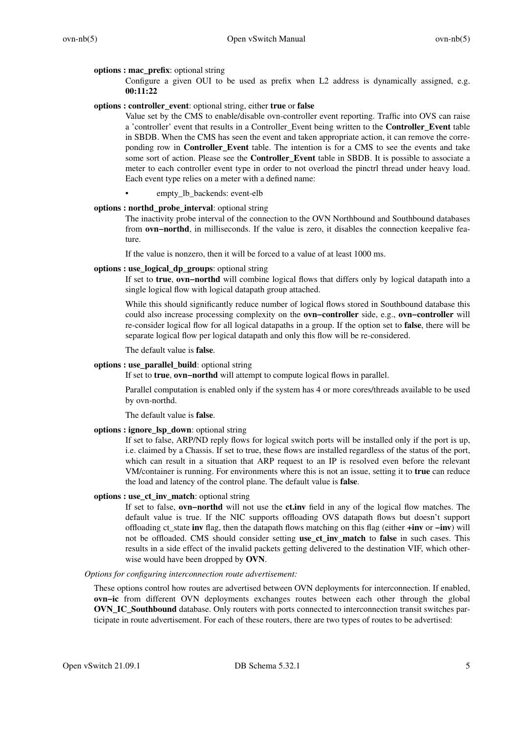### **options : mac\_prefix**: optional string

Configure a given OUI to be used as prefix when L2 address is dynamically assigned, e.g. **00:11:22**

## **options : controller\_event**: optional string, either **true** or **false**

Value set by the CMS to enable/disable ovn-controller event reporting. Traffic into OVS can raise a 'controller' event that results in a Controller\_Event being written to the **Controller\_Event** table in SBDB. When the CMS has seen the event and taken appropriate action, it can remove the correponding row in **Controller\_Event** table. The intention is for a CMS to see the events and take some sort of action. Please see the **Controller** Event table in SBDB. It is possible to associate a meter to each controller event type in order to not overload the pinctrl thread under heavy load. Each event type relies on a meter with a defined name:

• empty\_lb\_backends: event-elb

### **options : northd\_probe\_interval**: optional string

The inactivity probe interval of the connection to the OVN Northbound and Southbound databases from **ovn–northd**, in milliseconds. If the value is zero, it disables the connection keepalive feature.

If the value is nonzero, then it will be forced to a value of at least 1000 ms.

### **options : use\_logical\_dp\_groups**: optional string

If set to **true**, **ovn−northd** will combine logical flows that differs only by logical datapath into a single logical flow with logical datapath group attached.

While this should significantly reduce number of logical flows stored in Southbound database this could also increase processing complexity on the **ovn−controller** side, e.g., **ovn−controller** will re-consider logical flow for all logical datapaths in a group. If the option set to **false**, there will be separate logical flow per logical datapath and only this flow will be re-considered.

The default value is **false**.

# **options : use\_parallel\_build**: optional string

If set to **true**, **ovn−northd** will attempt to compute logical flows in parallel.

Parallel computation is enabled only if the system has 4 or more cores/threads available to be used by ovn-northd.

The default value is **false**.

### **options : ignore\_lsp\_down**: optional string

If set to false, ARP/ND reply flows for logical switch ports will be installed only if the port is up, i.e. claimed by a Chassis. If set to true, these flows are installed regardless of the status of the port, which can result in a situation that ARP request to an IP is resolved even before the relevant VM/container is running. For environments where this is not an issue, setting it to **true** can reduce the load and latency of the control plane. The default value is **false**.

### **options : use\_ct\_inv\_match**: optional string

If set to false, **ovn−northd** will not use the **ct.inv** field in any of the logical flow matches. The default value is true. If the NIC supports offloading OVS datapath flows but doesn't support offloading ct\_state **inv** flag, then the datapath flows matching on this flag (either **+inv** or **−inv**) will not be offloaded. CMS should consider setting **use\_ct\_inv\_match** to **false** in such cases. This results in a side effect of the invalid packets getting delivered to the destination VIF, which otherwise would have been dropped by **OVN**.

### *Options for configuring interconnection route advertisement:*

These options control how routes are advertised between OVN deployments for interconnection. If enabled, **ovn−ic** from different OVN deployments exchanges routes between each other through the global **OVN\_IC\_Southbound** database. Only routers with ports connected to interconnection transit switches participate in route advertisement. For each of these routers, there are two types of routes to be advertised: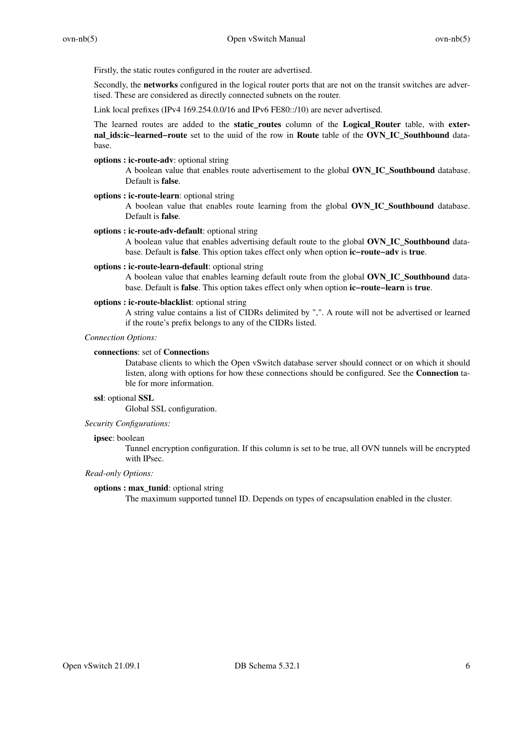Firstly, the static routes configured in the router are advertised.

Secondly, the **networks** configured in the logical router ports that are not on the transit switches are advertised. These are considered as directly connected subnets on the router.

Link local prefixes (IPv4 169.254.0.0/16 and IPv6 FE80::/10) are never advertised.

The learned routes are added to the **static routes** column of the **Logical Router** table, with **external\_ids:ic−learned−route** set to the uuid of the row in **Route** table of the **OVN\_IC\_Southbound** database.

### **options : ic-route-adv**: optional string

A boolean value that enables route advertisement to the global **OVN\_IC\_Southbound** database. Default is **false**.

## **options : ic-route-learn**: optional string

A boolean value that enables route learning from the global **OVN\_IC\_Southbound** database. Default is **false**.

### **options : ic-route-adv-default**: optional string

A boolean value that enables advertising default route to the global **OVN\_IC\_Southbound** database. Default is **false**. This option takes effect only when option **ic−route−adv** is **true**.

## **options : ic-route-learn-default**: optional string

A boolean value that enables learning default route from the global **OVN\_IC\_Southbound** database. Default is **false**. This option takes effect only when option **ic−route−learn** is **true**.

# **options : ic-route-blacklist**: optional string

A string value contains a list of CIDRs delimited by ",". A route will not be advertised or learned if the route's prefix belongs to any of the CIDRs listed.

# *Connection Options:*

### **connections**: set of **Connection**s

Database clients to which the Open vSwitch database server should connect or on which it should listen, along with options for how these connections should be configured. See the **Connection** table for more information.

# **ssl**: optional **SSL**

Global SSL configuration.

# *Security Configurations:*

### **ipsec**: boolean

Tunnel encryption configuration. If this column is set to be true, all OVN tunnels will be encrypted with IPsec.

### *Read-only Options:*

### **options : max\_tunid**: optional string

The maximum supported tunnel ID. Depends on types of encapsulation enabled in the cluster.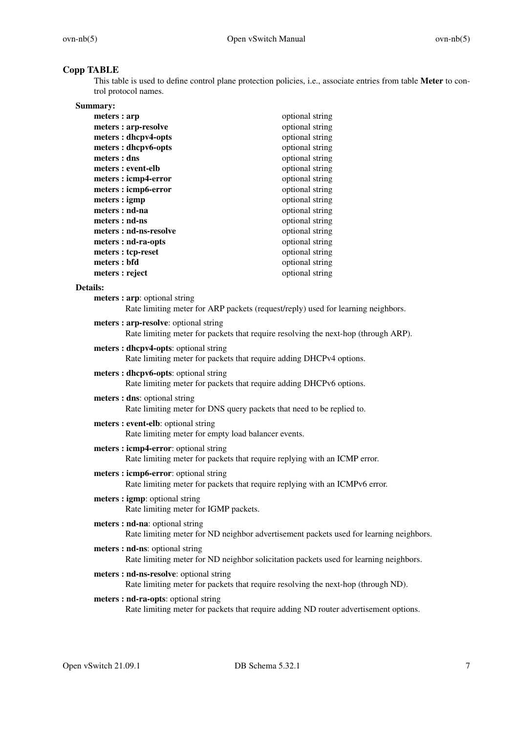# **Copp TABLE**

This table is used to define control plane protection policies, i.e., associate entries from table **Meter** to control protocol names.

| Summary:               |                 |
|------------------------|-----------------|
| meters : arp           | optional string |
| meters : arp-resolve   | optional string |
| meters : dhcpv4-opts   | optional string |
| meters : dhcpv6-opts   | optional string |
| meters : dns           | optional string |
| meters : event-elb     | optional string |
| meters: icmp4-error    | optional string |
| meters: icmp6-error    | optional string |
| meters : igmp          | optional string |
| meters : nd-na         | optional string |
| meters : nd-ns         | optional string |
| meters : nd-ns-resolve | optional string |
| meters : nd-ra-opts    | optional string |
| meters : tcp-reset     | optional string |
| meters : bfd           | optional string |
| meters : reject        | optional string |

# **Details:**

| meters: arp: optional string<br>Rate limiting meter for ARP packets (request/reply) used for learning neighbors.             |
|------------------------------------------------------------------------------------------------------------------------------|
| meters: arp-resolve: optional string<br>Rate limiting meter for packets that require resolving the next-hop (through ARP).   |
| meters : dhcpv4-opts: optional string<br>Rate limiting meter for packets that require adding DHCPv4 options.                 |
| meters : dhcpv6-opts: optional string<br>Rate limiting meter for packets that require adding DHCPv6 options.                 |
| meters : dns: optional string<br>Rate limiting meter for DNS query packets that need to be replied to.                       |
| meters: event-elb: optional string<br>Rate limiting meter for empty load balancer events.                                    |
| meters: icmp4-error: optional string<br>Rate limiting meter for packets that require replying with an ICMP error.            |
| meters: icmp6-error: optional string<br>Rate limiting meter for packets that require replying with an ICMPv6 error.          |
| meters : igmp: optional string<br>Rate limiting meter for IGMP packets.                                                      |
| meters : nd-na: optional string<br>Rate limiting meter for ND neighbor advertisement packets used for learning neighbors.    |
| meters : nd-ns: optional string<br>Rate limiting meter for ND neighbor solicitation packets used for learning neighbors.     |
| meters : nd-ns-resolve: optional string<br>Rate limiting meter for packets that require resolving the next-hop (through ND). |
| meters : nd-ra-opts: optional string<br>Rate limiting meter for packets that require adding ND router advertisement options. |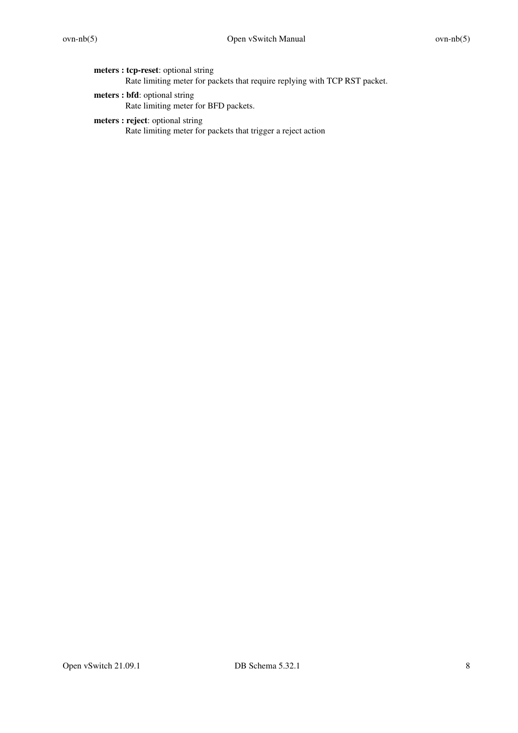**meters : tcp-reset**: optional string Rate limiting meter for packets that require replying with TCP RST packet.

- **meters : bfd**: optional string Rate limiting meter for BFD packets.
- **meters : reject**: optional string Rate limiting meter for packets that trigger a reject action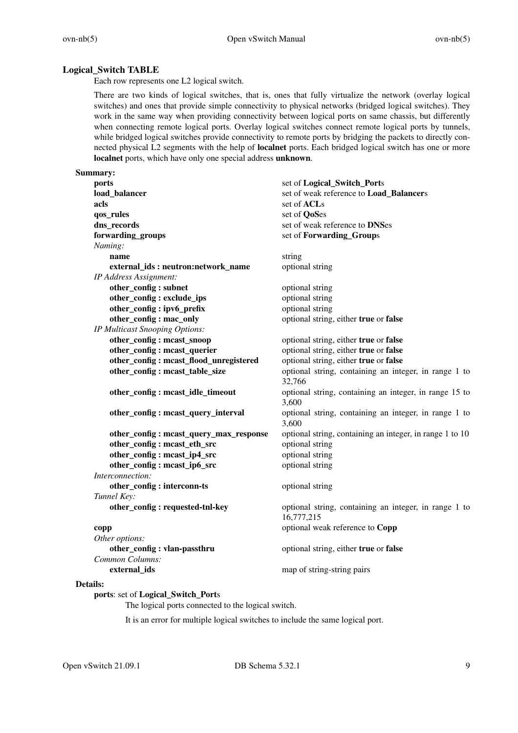# **Logical\_Switch TABLE**

Each row represents one L2 logical switch.

There are two kinds of logical switches, that is, ones that fully virtualize the network (overlay logical switches) and ones that provide simple connectivity to physical networks (bridged logical switches). They work in the same way when providing connectivity between logical ports on same chassis, but differently when connecting remote logical ports. Overlay logical switches connect remote logical ports by tunnels, while bridged logical switches provide connectivity to remote ports by bridging the packets to directly connected physical L2 segments with the help of **localnet** ports. Each bridged logical switch has one or more **localnet** ports, which have only one special address **unknown**.

### **Summary:**

| set of Logical_Switch_Ports                                         |
|---------------------------------------------------------------------|
| set of weak reference to Load_Balancers                             |
| set of ACLs                                                         |
| set of QoSes                                                        |
| set of weak reference to DNSes                                      |
| set of Forwarding_Groups                                            |
|                                                                     |
| string                                                              |
| optional string                                                     |
|                                                                     |
| optional string                                                     |
| optional string                                                     |
| optional string                                                     |
| optional string, either true or false                               |
|                                                                     |
| optional string, either true or false                               |
| optional string, either true or false                               |
| optional string, either true or false                               |
| optional string, containing an integer, in range 1 to<br>32,766     |
| optional string, containing an integer, in range 15 to<br>3,600     |
| optional string, containing an integer, in range 1 to<br>3,600      |
| optional string, containing an integer, in range 1 to 10            |
| optional string                                                     |
| optional string                                                     |
| optional string                                                     |
|                                                                     |
| optional string                                                     |
|                                                                     |
| optional string, containing an integer, in range 1 to<br>16,777,215 |
| optional weak reference to Copp                                     |
|                                                                     |
| optional string, either true or false                               |
|                                                                     |
| map of string-string pairs                                          |
|                                                                     |

## **Details:**

# **ports**: set of **Logical\_Switch\_Port**s

The logical ports connected to the logical switch.

It is an error for multiple logical switches to include the same logical port.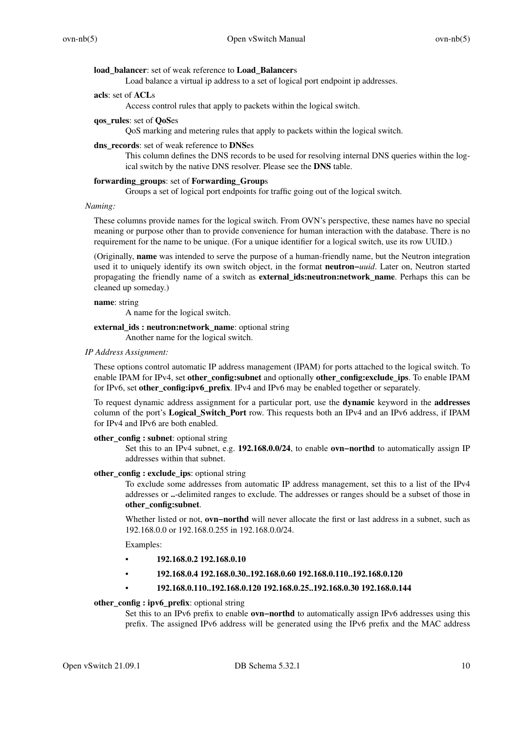### **load\_balancer**: set of weak reference to **Load\_Balancer**s

Load balance a virtual ip address to a set of logical port endpoint ip addresses.

# **acls**: set of **ACL**s

Access control rules that apply to packets within the logical switch.

# **qos\_rules**: set of **QoS**es

QoS marking and metering rules that apply to packets within the logical switch.

### **dns\_records**: set of weak reference to **DNS**es

This column defines the DNS records to be used for resolving internal DNS queries within the logical switch by the native DNS resolver. Please see the **DNS** table.

### **forwarding\_groups**: set of **Forwarding\_Group**s

Groups a set of logical port endpoints for traffic going out of the logical switch.

# *Naming:*

These columns provide names for the logical switch. From OVN's perspective, these names have no special meaning or purpose other than to provide convenience for human interaction with the database. There is no requirement for the name to be unique. (For a unique identifier for a logical switch, use its row UUID.)

(Originally, **name** was intended to serve the purpose of a human-friendly name, but the Neutron integration used it to uniquely identify its own switch object, in the format **neutron−***uuid*. Later on, Neutron started propagating the friendly name of a switch as **external\_ids:neutron:network\_name**. Perhaps this can be cleaned up someday.)

### **name**: string

A name for the logical switch.

### **external\_ids : neutron:network\_name**: optional string

Another name for the logical switch.

## *IP Address Assignment:*

These options control automatic IP address management (IPAM) for ports attached to the logical switch. To enable IPAM for IPv4, set **other\_config:subnet** and optionally **other\_config:exclude\_ips**. To enable IPAM for IPv6, set **other** config: **ipv6** prefix. IPv4 and IPv6 may be enabled together or separately.

To request dynamic address assignment for a particular port, use the **dynamic** keyword in the **addresses** column of the port's **Logical\_Switch\_Port** row. This requests both an IPv4 and an IPv6 address, if IPAM for IPv4 and IPv6 are both enabled.

### **other** config : subnet: optional string

Set this to an IPv4 subnet, e.g. **192.168.0.0/24**, to enable **ovn−northd** to automatically assign IP addresses within that subnet.

### **other** config : exclude ips: optional string

To exclude some addresses from automatic IP address management, set this to a list of the IPv4 addresses or **..**-delimited ranges to exclude. The addresses or ranges should be a subset of those in **other\_config:subnet**.

Whether listed or not, **ovn−northd** will never allocate the first or last address in a subnet, such as 192.168.0.0 or 192.168.0.255 in 192.168.0.0/24.

Examples:

- **192.168.0.2 192.168.0.10**
- **192.168.0.4 192.168.0.30..192.168.0.60 192.168.0.110..192.168.0.120**

### • **192.168.0.110..192.168.0.120 192.168.0.25..192.168.0.30 192.168.0.144**

### **other\_config : ipv6\_prefix**: optional string

Set this to an IPv6 prefix to enable **ovn−northd** to automatically assign IPv6 addresses using this prefix. The assigned IPv6 address will be generated using the IPv6 prefix and the MAC address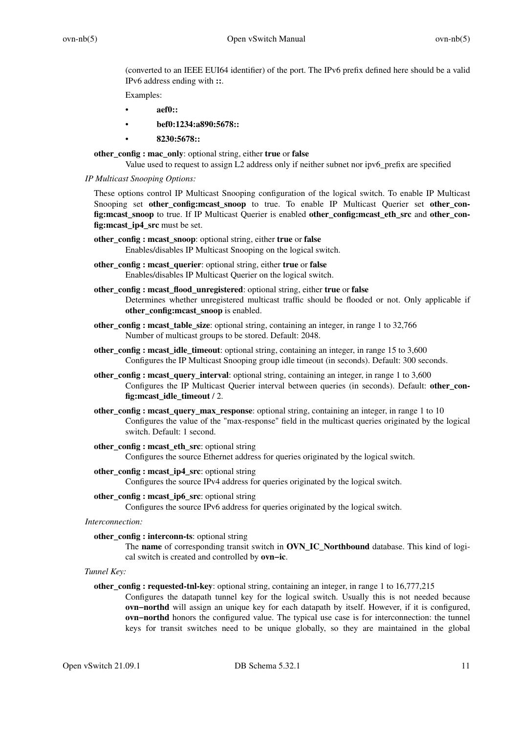(converted to an IEEE EUI64 identifier) of the port. The IPv6 prefix defined here should be a valid IPv6 address ending with **::**.

Examples:

- **aef0::**
- **bef0:1234:a890:5678::**
- **8230:5678::**

**other\_config : mac\_only**: optional string, either **true** or **false**

Value used to request to assign L2 address only if neither subnet nor ipv6\_prefix are specified

*IP Multicast Snooping Options:*

These options control IP Multicast Snooping configuration of the logical switch. To enable IP Multicast Snooping set **other\_config:mcast\_snoop** to true. To enable IP Multicast Querier set **other\_config:mcast\_snoop** to true. If IP Multicast Querier is enabled **other\_config:mcast\_eth\_src** and **other\_config:mcast\_ip4\_src** must be set.

- **other\_config : mcast\_snoop**: optional string, either **true** or **false** Enables/disables IP Multicast Snooping on the logical switch.
- **other\_config : mcast\_querier**: optional string, either **true** or **false** Enables/disables IP Multicast Querier on the logical switch.
- **other\_config : mcast\_flood\_unregistered**: optional string, either **true** or **false** Determines whether unregistered multicast traffic should be flooded or not. Only applicable if **other** config: meast snoop is enabled.
- **other\_config : mcast\_table\_size**: optional string, containing an integer, in range 1 to 32,766 Number of multicast groups to be stored. Default: 2048.
- **other\_config : mcast\_idle\_timeout**: optional string, containing an integer, in range 15 to 3,600 Configures the IP Multicast Snooping group idle timeout (in seconds). Default: 300 seconds.
- **other\_config : mcast\_query\_interval**: optional string, containing an integer, in range 1 to 3,600 Configures the IP Multicast Querier interval between queries (in seconds). Default: **other\_config:mcast\_idle\_timeout** / 2.
- **other\_config : mcast\_query\_max\_response**: optional string, containing an integer, in range 1 to 10 Configures the value of the "max-response" field in the multicast queries originated by the logical switch. Default: 1 second.
- **other\_config : mcast\_eth\_src**: optional string Configures the source Ethernet address for queries originated by the logical switch.
- **other\_config : mcast\_ip4\_src**: optional string Configures the source IPv4 address for queries originated by the logical switch.
- **other\_config : mcast\_ip6\_src**: optional string

Configures the source IPv6 address for queries originated by the logical switch.

*Interconnection:*

**other\_config : interconn-ts**: optional string

- The **name** of corresponding transit switch in **OVN\_IC\_Northbound** database. This kind of logical switch is created and controlled by **ovn−ic**.
- *Tunnel Key:*

## **other\_config : requested-tnl-key**: optional string, containing an integer, in range 1 to 16,777,215

Configures the datapath tunnel key for the logical switch. Usually this is not needed because **ovn−northd** will assign an unique key for each datapath by itself. However, if it is configured, **ovn−northd** honors the configured value. The typical use case is for interconnection: the tunnel keys for transit switches need to be unique globally, so they are maintained in the global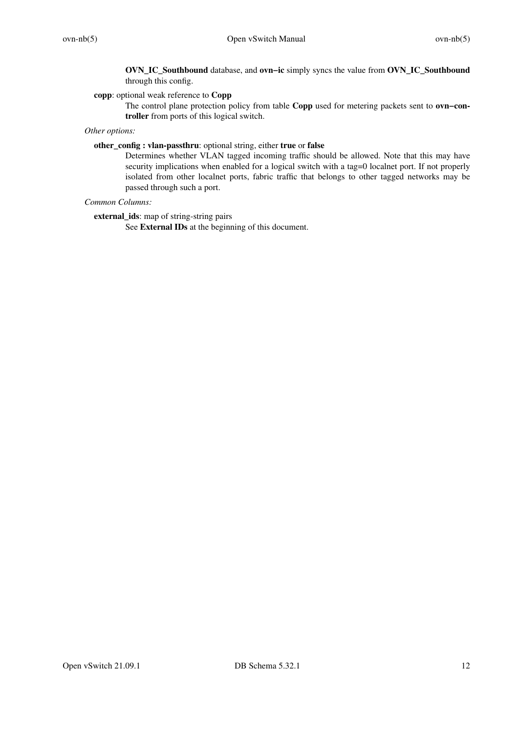**OVN\_IC\_Southbound** database, and **ovn−ic** simply syncs the value from **OVN\_IC\_Southbound** through this config.

# **copp**: optional weak reference to **Copp**

The control plane protection policy from table **Copp** used for metering packets sent to **ovn−controller** from ports of this logical switch.

# *Other options:*

# **other\_config : vlan-passthru**: optional string, either **true** or **false**

Determines whether VLAN tagged incoming traffic should be allowed. Note that this may have security implications when enabled for a logical switch with a tag=0 localnet port. If not properly isolated from other localnet ports, fabric traffic that belongs to other tagged networks may be passed through such a port.

# *Common Columns:*

**external\_ids**: map of string-string pairs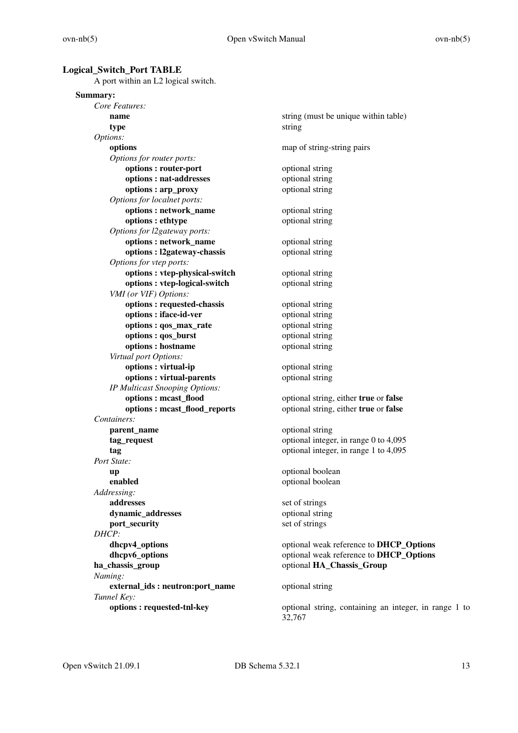## **Logical\_Switch\_Port TABLE**

A port within an L2 logical switch.

# **Summary:**

| Core Features:                  |                                                                 |
|---------------------------------|-----------------------------------------------------------------|
| name                            | string (must be unique within table)                            |
| type                            | string                                                          |
| Options:                        |                                                                 |
| options                         | map of string-string pairs                                      |
| Options for router ports:       |                                                                 |
| options: router-port            | optional string                                                 |
| options : nat-addresses         | optional string                                                 |
| options: arp_proxy              | optional string                                                 |
| Options for localnet ports:     |                                                                 |
| options: network_name           | optional string                                                 |
| options : ethtype               | optional string                                                 |
| Options for l2gateway ports:    |                                                                 |
| options: network_name           | optional string                                                 |
| options: l2gateway-chassis      | optional string                                                 |
| Options for vtep ports:         |                                                                 |
| options : vtep-physical-switch  | optional string                                                 |
| options : vtep-logical-switch   | optional string                                                 |
| VMI (or VIF) Options:           |                                                                 |
| options: requested-chassis      | optional string                                                 |
| options : iface-id-ver          | optional string                                                 |
| options : qos_max_rate          | optional string                                                 |
| options: qos_burst              | optional string                                                 |
| options: hostname               | optional string                                                 |
| Virtual port Options:           |                                                                 |
| options : virtual-ip            | optional string                                                 |
| options: virtual-parents        | optional string                                                 |
| IP Multicast Snooping Options:  |                                                                 |
| options: meast_flood            | optional string, either true or false                           |
| options: mcast_flood_reports    | optional string, either true or false                           |
| Containers:                     |                                                                 |
| parent_name                     | optional string                                                 |
| tag_request                     | optional integer, in range 0 to 4,095                           |
| tag                             | optional integer, in range 1 to 4,095                           |
| Port State:                     |                                                                 |
| up                              | optional boolean                                                |
| enabled                         | optional boolean                                                |
| Addressing:                     |                                                                 |
| addresses                       | set of strings                                                  |
| dynamic_addresses               | optional string                                                 |
| port_security<br>DHCP:          | set of strings                                                  |
| dhcpv4_options                  | optional weak reference to DHCP_Options                         |
| dhcpv6_options                  | optional weak reference to DHCP_Options                         |
| ha_chassis_group                | optional HA_Chassis_Group                                       |
| Naming:                         |                                                                 |
| external_ids: neutron:port_name | optional string                                                 |
| Tunnel Key:                     |                                                                 |
| options: requested-tnl-key      | optional string, containing an integer, in range 1 to<br>32,767 |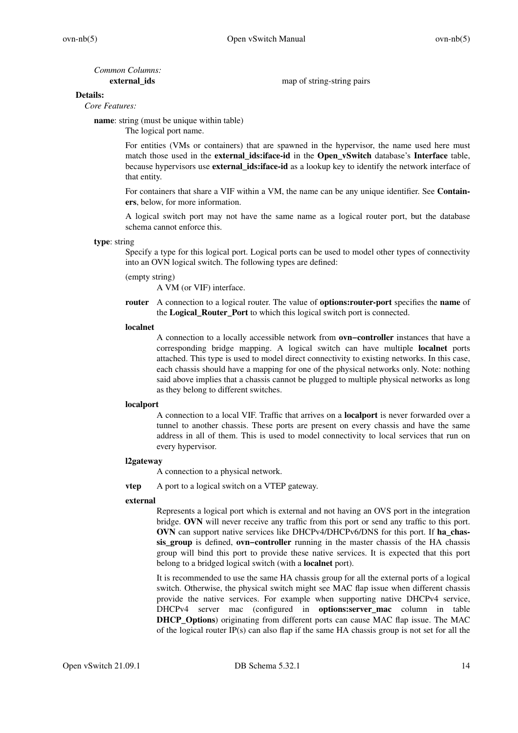*Common Columns:*

**external\_ids** map of string-string pairs

## **Details:**

*Core Features:*

**name**: string (must be unique within table)

The logical port name.

For entities (VMs or containers) that are spawned in the hypervisor, the name used here must match those used in the **external\_ids:iface-id** in the **Open\_vSwitch** database's **Interface** table, because hypervisors use **external\_ids:iface-id** as a lookup key to identify the network interface of that entity.

For containers that share a VIF within a VM, the name can be any unique identifier. See **Containers**, below, for more information.

A logical switch port may not have the same name as a logical router port, but the database schema cannot enforce this.

### **type**: string

Specify a type for this logical port. Logical ports can be used to model other types of connectivity into an OVN logical switch. The following types are defined:

## (empty string)

A VM (or VIF) interface.

**router** A connection to a logical router. The value of **options:router-port** specifies the **name** of the **Logical\_Router\_Port** to which this logical switch port is connected.

## **localnet**

A connection to a locally accessible network from **ovn−controller** instances that have a corresponding bridge mapping. A logical switch can have multiple **localnet** ports attached. This type is used to model direct connectivity to existing networks. In this case, each chassis should have a mapping for one of the physical networks only. Note: nothing said above implies that a chassis cannot be plugged to multiple physical networks as long as they belong to different switches.

## **localport**

A connection to a local VIF. Traffic that arrives on a **localport** is never forwarded over a tunnel to another chassis. These ports are present on every chassis and have the same address in all of them. This is used to model connectivity to local services that run on every hypervisor.

## **l2gateway**

A connection to a physical network.

**vtep** A port to a logical switch on a VTEP gateway.

## **external**

Represents a logical port which is external and not having an OVS port in the integration bridge. OVN will never receive any traffic from this port or send any traffic to this port. **OVN** can support native services like DHCPv4/DHCPv6/DNS for this port. If **ha\_chassis\_group** is defined, **ovn−controller** running in the master chassis of the HA chassis group will bind this port to provide these native services. It is expected that this port belong to a bridged logical switch (with a **localnet** port).

It is recommended to use the same HA chassis group for all the external ports of a logical switch. Otherwise, the physical switch might see MAC flap issue when different chassis provide the native services. For example when supporting native DHCPv4 service, DHCPv4 server mac (configured in **options:server\_mac** column in table **DHCP\_Options**) originating from different ports can cause MAC flap issue. The MAC of the logical router IP(s) can also flap if the same HA chassis group is not set for all the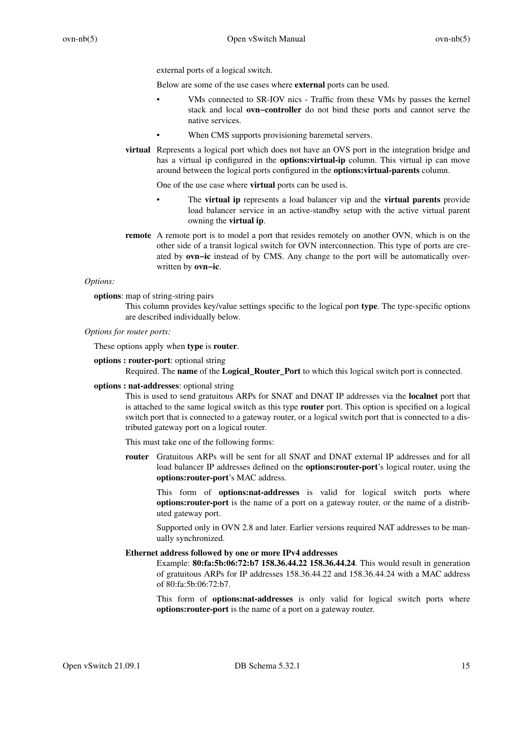external ports of a logical switch.

Below are some of the use cases where **external** ports can be used.

- VMs connected to SR-IOV nics Traffic from these VMs by passes the kernel stack and local **ovn−controller** do not bind these ports and cannot serve the native services.
	- When CMS supports provisioning baremetal servers.
- **virtual** Represents a logical port which does not have an OVS port in the integration bridge and has a virtual ip configured in the **options:virtual-ip** column. This virtual ip can move around between the logical ports configured in the **options:virtual-parents** column.

One of the use case where **virtual** ports can be used is.

- The **virtual ip** represents a load balancer vip and the **virtual parents** provide load balancer service in an active-standby setup with the active virtual parent owning the **virtual ip**.
- **remote** A remote port is to model a port that resides remotely on another OVN, which is on the other side of a transit logical switch for OVN interconnection. This type of ports are created by **ovn−ic** instead of by CMS. Any change to the port will be automatically overwritten by **ovn−ic**.

# *Options:*

**options**: map of string-string pairs

This column provides key/value settings specific to the logical port **type**. The type-specific options are described individually below.

### *Options for router ports:*

These options apply when **type** is **router**.

### **options : router-port**: optional string

Required. The **name** of the **Logical\_Router\_Port** to which this logical switch port is connected.

## **options : nat-addresses**: optional string

This is used to send gratuitous ARPs for SNAT and DNAT IP addresses via the **localnet** port that is attached to the same logical switch as this type **router** port. This option is specified on a logical switch port that is connected to a gateway router, or a logical switch port that is connected to a distributed gateway port on a logical router.

This must take one of the following forms:

**router** Gratuitous ARPs will be sent for all SNAT and DNAT external IP addresses and for all load balancer IP addresses defined on the **options:router-port**'s logical router, using the **options:router-port**'s MAC address.

This form of **options:nat-addresses** is valid for logical switch ports where **options:router-port** is the name of a port on a gateway router, or the name of a distributed gateway port.

Supported only in OVN 2.8 and later. Earlier versions required NAT addresses to be manually synchronized.

## **Ethernet address followed by one or more IPv4 addresses**

Example: **80:fa:5b:06:72:b7 158.36.44.22 158.36.44.24**. This would result in generation of gratuitous ARPs for IP addresses 158.36.44.22 and 158.36.44.24 with a MAC address of 80:fa:5b:06:72:b7.

This form of **options:nat-addresses** is only valid for logical switch ports where **options:router-port** is the name of a port on a gateway router.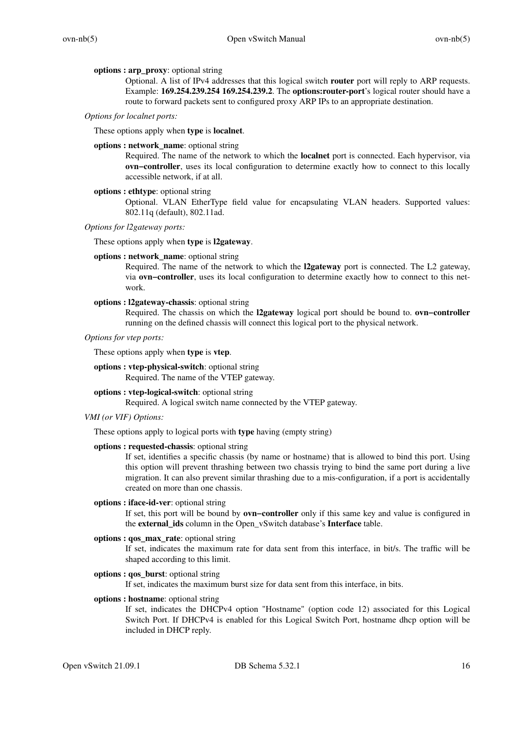### **options : arp\_proxy**: optional string

Optional. A list of IPv4 addresses that this logical switch **router** port will reply to ARP requests. Example: **169.254.239.254 169.254.239.2**. The **options:router-port**'s logical router should have a route to forward packets sent to configured proxy ARP IPs to an appropriate destination.

### *Options for localnet ports:*

These options apply when **type** is **localnet**.

### **options : network\_name**: optional string

Required. The name of the network to which the **localnet** port is connected. Each hypervisor, via **ovn−controller**, uses its local configuration to determine exactly how to connect to this locally accessible network, if at all.

### **options : ethtype**: optional string

Optional. VLAN EtherType field value for encapsulating VLAN headers. Supported values: 802.11q (default), 802.11ad.

## *Options for l2gateway ports:*

### These options apply when **type** is **l2gateway**.

## **options : network\_name**: optional string

Required. The name of the network to which the **l2gateway** port is connected. The L2 gateway, via **ovn−controller**, uses its local configuration to determine exactly how to connect to this network.

### **options : l2gateway-chassis**: optional string

Required. The chassis on which the **l2gateway** logical port should be bound to. **ovn−controller** running on the defined chassis will connect this logical port to the physical network.

# *Options for vtep ports:*

These options apply when **type** is **vtep**.

# **options : vtep-physical-switch**: optional string

Required. The name of the VTEP gateway.

## **options : vtep-logical-switch**: optional string

Required. A logical switch name connected by the VTEP gateway.

### *VMI (or VIF) Options:*

These options apply to logical ports with **type** having (empty string)

## **options : requested-chassis**: optional string

If set, identifies a specific chassis (by name or hostname) that is allowed to bind this port. Using this option will prevent thrashing between two chassis trying to bind the same port during a live migration. It can also prevent similar thrashing due to a mis-configuration, if a port is accidentally created on more than one chassis.

## **options : iface-id-ver**: optional string

If set, this port will be bound by **ovn−controller** only if this same key and value is configured in the **external\_ids** column in the Open\_vSwitch database's **Interface** table.

## **options : qos\_max\_rate**: optional string

If set, indicates the maximum rate for data sent from this interface, in bit/s. The traffic will be shaped according to this limit.

### **options : qos\_burst**: optional string

If set, indicates the maximum burst size for data sent from this interface, in bits.

## **options : hostname**: optional string

If set, indicates the DHCPv4 option "Hostname" (option code 12) associated for this Logical Switch Port. If DHCPv4 is enabled for this Logical Switch Port, hostname dhcp option will be included in DHCP reply.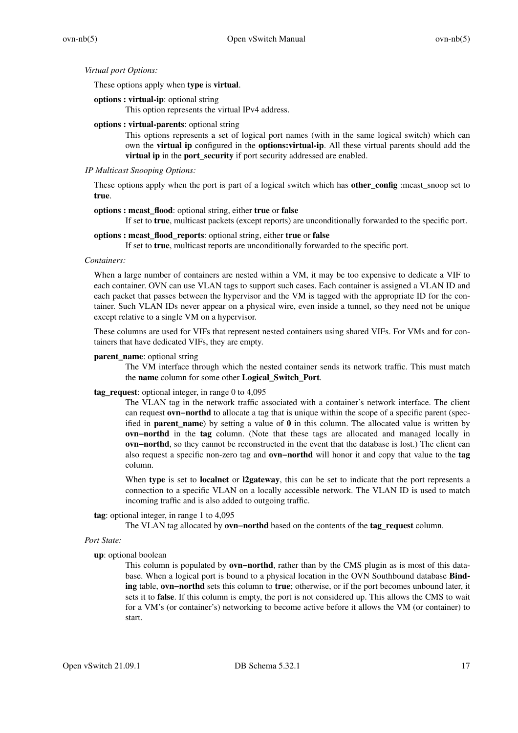### *Virtual port Options:*

These options apply when **type** is **virtual**.

### **options : virtual-ip**: optional string

This option represents the virtual IPv4 address.

### **options : virtual-parents**: optional string

This options represents a set of logical port names (with in the same logical switch) which can own the **virtual ip** configured in the **options:virtual-ip**. All these virtual parents should add the **virtual ip** in the **port** security if port security addressed are enabled.

## *IP Multicast Snooping Options:*

These options apply when the port is part of a logical switch which has **other\_config** :mcast\_snoop set to **true**.

## **options : mcast\_flood**: optional string, either **true** or **false**

If set to **true**, multicast packets (except reports) are unconditionally forwarded to the specific port.

# **options : mcast\_flood\_reports**: optional string, either **true** or **false**

If set to **true**, multicast reports are unconditionally forwarded to the specific port.

# *Containers:*

When a large number of containers are nested within a VM, it may be too expensive to dedicate a VIF to each container. OVN can use VLAN tags to support such cases. Each container is assigned a VLAN ID and each packet that passes between the hypervisor and the VM is tagged with the appropriate ID for the container. Such VLAN IDs never appear on a physical wire, even inside a tunnel, so they need not be unique except relative to a single VM on a hypervisor.

These columns are used for VIFs that represent nested containers using shared VIFs. For VMs and for containers that have dedicated VIFs, they are empty.

## **parent\_name**: optional string

The VM interface through which the nested container sends its network traffic. This must match the **name** column for some other **Logical\_Switch\_Port**.

### **tag\_request**: optional integer, in range 0 to 4,095

The VLAN tag in the network traffic associated with a container's network interface. The client can request **ovn−northd** to allocate a tag that is unique within the scope of a specific parent (specified in **parent\_name**) by setting a value of **0** in this column. The allocated value is written by **ovn−northd** in the **tag** column. (Note that these tags are allocated and managed locally in **ovn−northd**, so they cannot be reconstructed in the event that the database is lost.) The client can also request a specific non-zero tag and **ovn−northd** will honor it and copy that value to the **tag** column.

When **type** is set to **localnet** or **l2gateway**, this can be set to indicate that the port represents a connection to a specific VLAN on a locally accessible network. The VLAN ID is used to match incoming traffic and is also added to outgoing traffic.

### **tag**: optional integer, in range 1 to 4,095

The VLAN tag allocated by **ovn−northd** based on the contents of the **tag\_request** column.

```
Port State:
```
# **up**: optional boolean

This column is populated by **ovn−northd**, rather than by the CMS plugin as is most of this database. When a logical port is bound to a physical location in the OVN Southbound database **Binding** table, **ovn−northd** sets this column to **true**; otherwise, or if the port becomes unbound later, it sets it to **false**. If this column is empty, the port is not considered up. This allows the CMS to wait for a VM's (or container's) networking to become active before it allows the VM (or container) to start.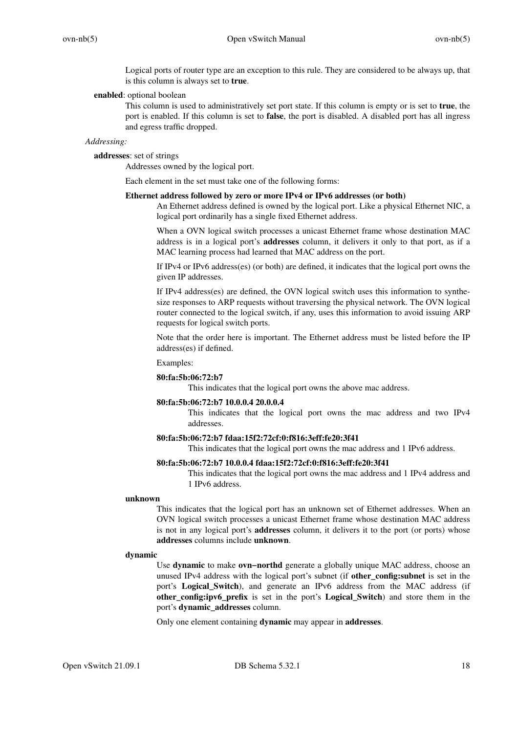Logical ports of router type are an exception to this rule. They are considered to be always up, that is this column is always set to **true**.

### **enabled**: optional boolean

This column is used to administratively set port state. If this column is empty or is set to **true**, the port is enabled. If this column is set to **false**, the port is disabled. A disabled port has all ingress and egress traffic dropped.

## *Addressing:*

## **addresses**: set of strings

Addresses owned by the logical port.

Each element in the set must take one of the following forms:

# **Ethernet address followed by zero or more IPv4 or IPv6 addresses (or both)**

An Ethernet address defined is owned by the logical port. Like a physical Ethernet NIC, a logical port ordinarily has a single fixed Ethernet address.

When a OVN logical switch processes a unicast Ethernet frame whose destination MAC address is in a logical port's **addresses** column, it delivers it only to that port, as if a MAC learning process had learned that MAC address on the port.

If IPv4 or IPv6 address(es) (or both) are defined, it indicates that the logical port owns the given IP addresses.

If IPv4 address(es) are defined, the OVN logical switch uses this information to synthesize responses to ARP requests without traversing the physical network. The OVN logical router connected to the logical switch, if any, uses this information to avoid issuing ARP requests for logical switch ports.

Note that the order here is important. The Ethernet address must be listed before the IP address(es) if defined.

### Examples:

### **80:fa:5b:06:72:b7**

This indicates that the logical port owns the above mac address.

### **80:fa:5b:06:72:b7 10.0.0.4 20.0.0.4**

This indicates that the logical port owns the mac address and two IPv4 addresses.

### **80:fa:5b:06:72:b7 fdaa:15f2:72cf:0:f816:3eff:fe20:3f41**

This indicates that the logical port owns the mac address and 1 IPv6 address.

### **80:fa:5b:06:72:b7 10.0.0.4 fdaa:15f2:72cf:0:f816:3eff:fe20:3f41**

This indicates that the logical port owns the mac address and 1 IPv4 address and 1 IPv6 address.

### **unknown**

This indicates that the logical port has an unknown set of Ethernet addresses. When an OVN logical switch processes a unicast Ethernet frame whose destination MAC address is not in any logical port's **addresses** column, it delivers it to the port (or ports) whose **addresses** columns include **unknown**.

### **dynamic**

Use **dynamic** to make **ovn−northd** generate a globally unique MAC address, choose an unused IPv4 address with the logical port's subnet (if **other\_config:subnet** is set in the port's **Logical\_Switch**), and generate an IPv6 address from the MAC address (if **other\_config:ipv6\_prefix** is set in the port's **Logical\_Switch**) and store them in the port's **dynamic\_addresses** column.

Only one element containing **dynamic** may appear in **addresses**.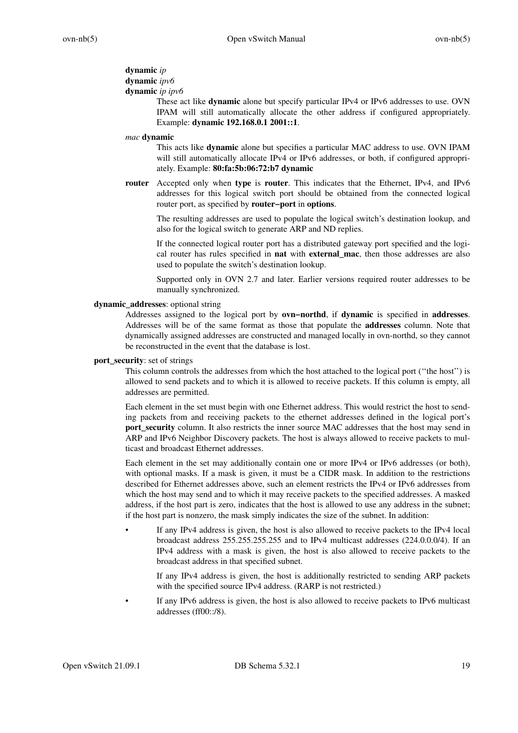# **dynamic** *ip*

# **dynamic** *ipv6*

# **dynamic** *ip ipv6*

These act like **dynamic** alone but specify particular IPv4 or IPv6 addresses to use. OVN IPAM will still automatically allocate the other address if configured appropriately. Example: **dynamic 192.168.0.1 2001::1**.

### *mac* **dynamic**

This acts like **dynamic** alone but specifies a particular MAC address to use. OVN IPAM will still automatically allocate IPv4 or IPv6 addresses, or both, if configured appropriately. Example: **80:fa:5b:06:72:b7 dynamic**

**router** Accepted only when **type** is **router**. This indicates that the Ethernet, IPv4, and IPv6 addresses for this logical switch port should be obtained from the connected logical router port, as specified by **router−port** in **options**.

The resulting addresses are used to populate the logical switch's destination lookup, and also for the logical switch to generate ARP and ND replies.

If the connected logical router port has a distributed gateway port specified and the logical router has rules specified in **nat** with **external\_mac**, then those addresses are also used to populate the switch's destination lookup.

Supported only in OVN 2.7 and later. Earlier versions required router addresses to be manually synchronized.

### **dynamic\_addresses**: optional string

Addresses assigned to the logical port by **ovn−northd**, if **dynamic** is specified in **addresses**. Addresses will be of the same format as those that populate the **addresses** column. Note that dynamically assigned addresses are constructed and managed locally in ovn-northd, so they cannot be reconstructed in the event that the database is lost.

### **port\_security**: set of strings

This column controls the addresses from which the host attached to the logical port (''the host'') is allowed to send packets and to which it is allowed to receive packets. If this column is empty, all addresses are permitted.

Each element in the set must begin with one Ethernet address. This would restrict the host to sending packets from and receiving packets to the ethernet addresses defined in the logical port's **port security** column. It also restricts the inner source MAC addresses that the host may send in ARP and IPv6 Neighbor Discovery packets. The host is always allowed to receive packets to multicast and broadcast Ethernet addresses.

Each element in the set may additionally contain one or more IPv4 or IPv6 addresses (or both), with optional masks. If a mask is given, it must be a CIDR mask. In addition to the restrictions described for Ethernet addresses above, such an element restricts the IPv4 or IPv6 addresses from which the host may send and to which it may receive packets to the specified addresses. A masked address, if the host part is zero, indicates that the host is allowed to use any address in the subnet; if the host part is nonzero, the mask simply indicates the size of the subnet. In addition:

• If any IPv4 address is given, the host is also allowed to receive packets to the IPv4 local broadcast address 255.255.255.255 and to IPv4 multicast addresses (224.0.0.0/4). If an IPv4 address with a mask is given, the host is also allowed to receive packets to the broadcast address in that specified subnet.

If any IPv4 address is given, the host is additionally restricted to sending ARP packets with the specified source IPv4 address. (RARP is not restricted.)

If any IPv6 address is given, the host is also allowed to receive packets to IPv6 multicast addresses (ff00::/8).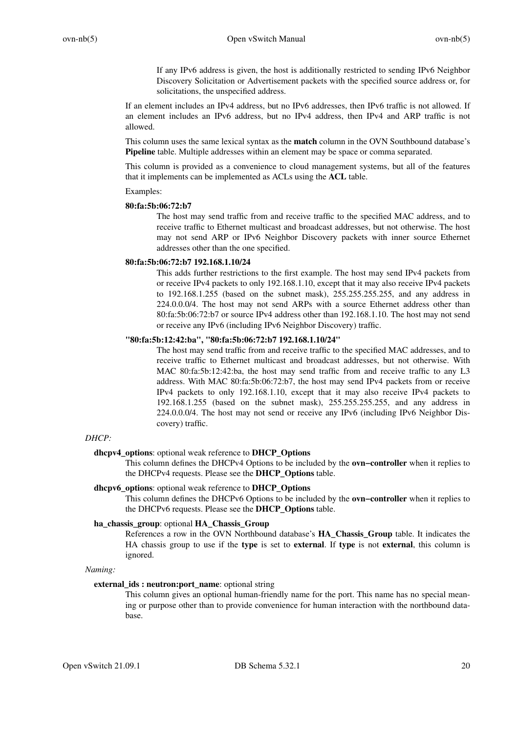If any IPv6 address is given, the host is additionally restricted to sending IPv6 Neighbor Discovery Solicitation or Advertisement packets with the specified source address or, for solicitations, the unspecified address.

If an element includes an IPv4 address, but no IPv6 addresses, then IPv6 traffic is not allowed. If an element includes an IPv6 address, but no IPv4 address, then IPv4 and ARP traffic is not allowed.

This column uses the same lexical syntax as the **match** column in the OVN Southbound database's **Pipeline** table. Multiple addresses within an element may be space or comma separated.

This column is provided as a convenience to cloud management systems, but all of the features that it implements can be implemented as ACLs using the **ACL** table.

### Examples:

## **80:fa:5b:06:72:b7**

The host may send traffic from and receive traffic to the specified MAC address, and to receive traffic to Ethernet multicast and broadcast addresses, but not otherwise. The host may not send ARP or IPv6 Neighbor Discovery packets with inner source Ethernet addresses other than the one specified.

### **80:fa:5b:06:72:b7 192.168.1.10/24**

This adds further restrictions to the first example. The host may send IPv4 packets from or receive IPv4 packets to only 192.168.1.10, except that it may also receive IPv4 packets to 192.168.1.255 (based on the subnet mask), 255.255.255.255, and any address in 224.0.0.0/4. The host may not send ARPs with a source Ethernet address other than 80:fa:5b:06:72:b7 or source IPv4 address other than 192.168.1.10. The host may not send or receive any IPv6 (including IPv6 Neighbor Discovery) traffic.

## **"80:fa:5b:12:42:ba", "80:fa:5b:06:72:b7 192.168.1.10/24"**

The host may send traffic from and receive traffic to the specified MAC addresses, and to receive traffic to Ethernet multicast and broadcast addresses, but not otherwise. With MAC 80:fa:5b:12:42:ba, the host may send traffic from and receive traffic to any L3 address. With MAC 80:fa:5b:06:72:b7, the host may send IPv4 packets from or receive IPv4 packets to only 192.168.1.10, except that it may also receive IPv4 packets to 192.168.1.255 (based on the subnet mask), 255.255.255.255, and any address in 224.0.0.0/4. The host may not send or receive any IPv6 (including IPv6 Neighbor Discovery) traffic.

# *DHCP:*

## **dhcpv4\_options**: optional weak reference to **DHCP\_Options**

This column defines the DHCPv4 Options to be included by the **ovn−controller** when it replies to the DHCPv4 requests. Please see the **DHCP\_Options** table.

### **dhcpv6\_options**: optional weak reference to **DHCP\_Options**

This column defines the DHCPv6 Options to be included by the **ovn−controller** when it replies to the DHCPv6 requests. Please see the **DHCP\_Options** table.

# **ha\_chassis\_group**: optional **HA\_Chassis\_Group**

References a row in the OVN Northbound database's **HA\_Chassis\_Group** table. It indicates the HA chassis group to use if the **type** is set to **external**. If **type** is not **external**, this column is ignored.

# *Naming:*

## **external\_ids : neutron:port\_name**: optional string

This column gives an optional human-friendly name for the port. This name has no special meaning or purpose other than to provide convenience for human interaction with the northbound database.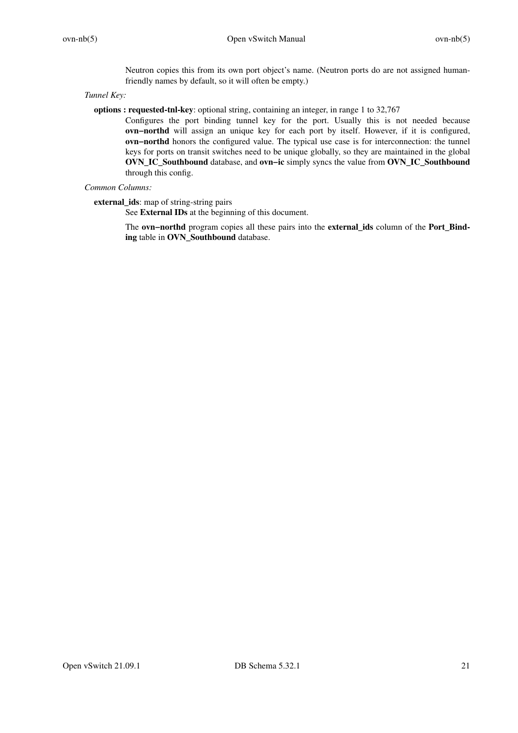Neutron copies this from its own port object's name. (Neutron ports do are not assigned humanfriendly names by default, so it will often be empty.)

*Tunnel Key:*

**options : requested-tnl-key**: optional string, containing an integer, in range 1 to 32,767

Configures the port binding tunnel key for the port. Usually this is not needed because **ovn−northd** will assign an unique key for each port by itself. However, if it is configured, **ovn−northd** honors the configured value. The typical use case is for interconnection: the tunnel keys for ports on transit switches need to be unique globally, so they are maintained in the global **OVN\_IC\_Southbound** database, and **ovn−ic** simply syncs the value from **OVN\_IC\_Southbound** through this config.

# *Common Columns:*

**external\_ids**: map of string-string pairs

See **External IDs** at the beginning of this document.

The **ovn−northd** program copies all these pairs into the **external\_ids** column of the **Port\_Binding** table in **OVN\_Southbound** database.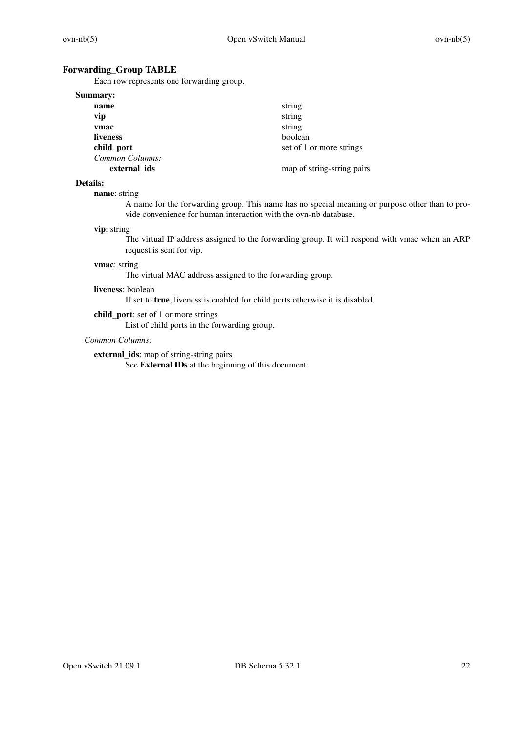# **Forwarding\_Group TABLE**

Each row represents one forwarding group.

| <b>Summary:</b> |                            |
|-----------------|----------------------------|
| name            | string                     |
| vip             | string                     |
| vmac            | string                     |
| liveness        | boolean                    |
| child_port      | set of 1 or more strings   |
| Common Columns: |                            |
| external ids    | map of string-string pairs |

# **Details:**

### **name**: string

A name for the forwarding group. This name has no special meaning or purpose other than to provide convenience for human interaction with the ovn-nb database.

## **vip**: string

The virtual IP address assigned to the forwarding group. It will respond with vmac when an ARP request is sent for vip.

# **vmac**: string

The virtual MAC address assigned to the forwarding group.

## **liveness**: boolean

If set to **true**, liveness is enabled for child ports otherwise it is disabled.

**child\_port**: set of 1 or more strings

List of child ports in the forwarding group.

# *Common Columns:*

**external\_ids**: map of string-string pairs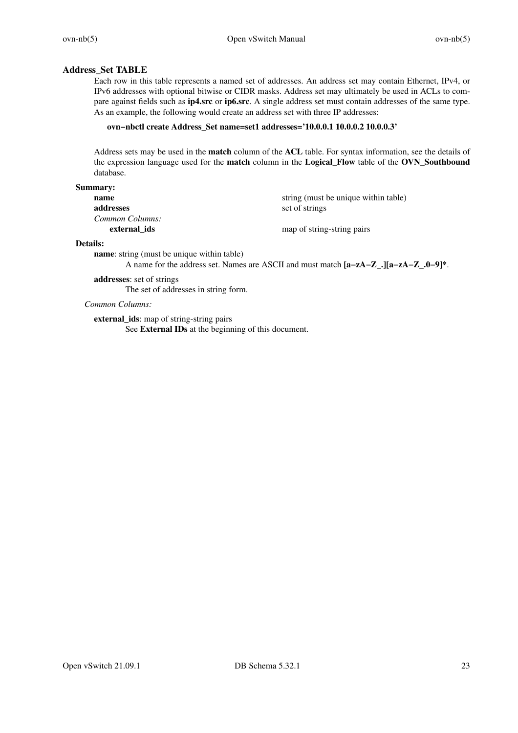# **Address\_Set TABLE**

Each row in this table represents a named set of addresses. An address set may contain Ethernet, IPv4, or IPv6 addresses with optional bitwise or CIDR masks. Address set may ultimately be used in ACLs to compare against fields such as **ip4.src** or **ip6.src**.Asingle address set must contain addresses of the same type. As an example, the following would create an address set with three IP addresses:

## **ovn−nbctl create Address\_Set name=set1 addresses='10.0.0.1 10.0.0.2 10.0.0.3'**

Address sets may be used in the **match** column of the **ACL** table. For syntax information, see the details of the expression language used for the **match** column in the **Logical\_Flow** table of the **OVN\_Southbound** database.

### **Summary:**

| -----           |                                      |
|-----------------|--------------------------------------|
| name            | string (must be unique within table) |
| addresses       | set of strings                       |
| Common Columns: |                                      |
| external ids    | map of string-string pairs           |
|                 |                                      |

### **Details:**

**name**: string (must be unique within table)

A name for the address set. Names are ASCII and must match **[a−zA−Z\_.][a−zA−Z\_.0−9]\***.

**addresses**: set of strings The set of addresses in string form.

*Common Columns:*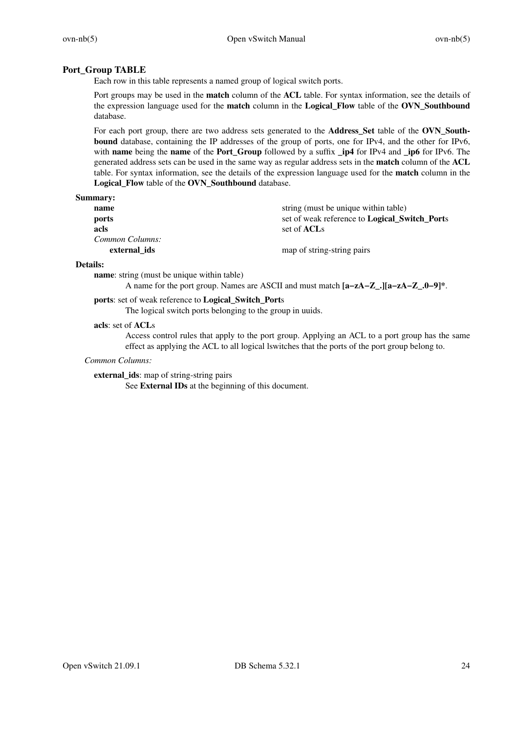# **Port\_Group TABLE**

Each row in this table represents a named group of logical switch ports.

Port groups may be used in the **match** column of the **ACL** table. For syntax information, see the details of the expression language used for the **match** column in the **Logical\_Flow** table of the **OVN\_Southbound** database.

For each port group, there are two address sets generated to the **Address\_Set** table of the **OVN\_Southbound** database, containing the IP addresses of the group of ports, one for IPv4, and the other for IPv6, with **name** being the **name** of the **Port\_Group** followed by a suffix **\_ip4** for IPv4 and **\_ip6** for IPv6. The generated address sets can be used in the same way as regular address sets in the **match** column of the **ACL** table. For syntax information, see the details of the expression language used for the **match** column in the **Logical\_Flow** table of the **OVN\_Southbound** database.

### **Summary:**

| name            | string (must be unique within table)                 |
|-----------------|------------------------------------------------------|
| ports           | set of weak reference to <b>Logical Switch Ports</b> |
| acls            | set of <b>ACL</b> s                                  |
| Common Columns: |                                                      |
| external ids    | map of string-string pairs                           |

# **Details:**

**name**: string (must be unique within table)

A name for the port group. Names are ASCII and must match **[a−zA−Z\_.][a−zA−Z\_.0−9]\***.

# **ports**: set of weak reference to **Logical\_Switch\_Port**s

The logical switch ports belonging to the group in uuids.

### **acls**: set of **ACL**s

Access control rules that apply to the port group. Applying an ACL to a port group has the same effect as applying the ACL to all logical lswitches that the ports of the port group belong to.

## *Common Columns:*

**external\_ids**: map of string-string pairs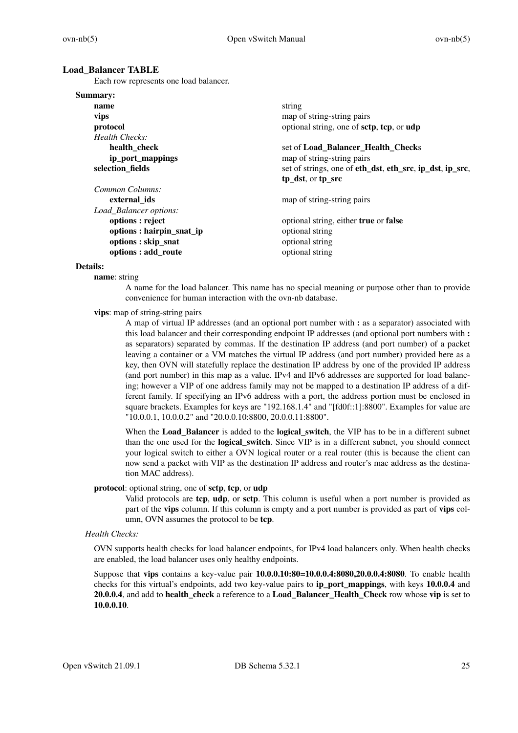### **Load\_Balancer TABLE**

Each row represents one load balancer.

| Summary:                  |                                                          |
|---------------------------|----------------------------------------------------------|
| name                      | string                                                   |
| vips                      | map of string-string pairs                               |
| protocol                  | optional string, one of sctp, tcp, or udp                |
| Health Checks:            |                                                          |
| health_check              | set of Load_Balancer_Health_Checks                       |
| ip_port_mappings          | map of string-string pairs                               |
| selection fields          | set of strings, one of eth_dst, eth_src, ip_dst, ip_src, |
|                           | tp_dst, or tp_src                                        |
| Common Columns:           |                                                          |
| external ids              | map of string-string pairs                               |
| Load_Balancer options:    |                                                          |
| options : reject          | optional string, either true or false                    |
| options : hairpin_snat_ip | optional string                                          |
| options: skip_snat        | optional string                                          |
| options : add_route       | optional string                                          |

### **Details:**

**name**: string

A name for the load balancer. This name has no special meaning or purpose other than to provide convenience for human interaction with the ovn-nb database.

**vips**: map of string-string pairs

A map of virtual IP addresses (and an optional port number with **:** as a separator) associated with this load balancer and their corresponding endpoint IP addresses (and optional port numbers with **:** as separators) separated by commas. If the destination IP address (and port number) of a packet leaving a container or a VM matches the virtual IP address (and port number) provided here as a key, then OVN will statefully replace the destination IP address by one of the provided IP address (and port number) in this map as a value. IPv4 and IPv6 addresses are supported for load balancing; however a VIP of one address family may not be mapped to a destination IP address of a different family. If specifying an IPv6 address with a port, the address portion must be enclosed in square brackets. Examples for keys are "192.168.1.4" and "[fd0f::1]:8800". Examples for value are "10.0.0.1, 10.0.0.2" and "20.0.0.10:8800, 20.0.0.11:8800".

When the **Load\_Balancer** is added to the **logical\_switch**, the VIP has to be in a different subnet than the one used for the **logical\_switch**. Since VIP is in a different subnet, you should connect your logical switch to either a OVN logical router or a real router (this is because the client can now send a packet with VIP as the destination IP address and router's mac address as the destination MAC address).

#### **protocol**: optional string, one of **sctp**, **tcp**, or **udp**

Valid protocols are **tcp**, **udp**, or **sctp**. This column is useful when a port number is provided as part of the **vips** column. If this column is empty and a port number is provided as part of **vips** column, OVN assumes the protocol to be **tcp**.

### *Health Checks:*

OVN supports health checks for load balancer endpoints, for IPv4 load balancers only. When health checks are enabled, the load balancer uses only healthy endpoints.

Suppose that **vips** contains a key-value pair **10.0.0.10:80**=**10.0.0.4:8080,20.0.0.4:8080**. To enable health checks for this virtual's endpoints, add two key-value pairs to **ip\_port\_mappings**, with keys **10.0.0.4** and **20.0.0.4**, and add to **health\_check** a reference to a **Load\_Balancer\_Health\_Check** row whose **vip** is set to **10.0.0.10**.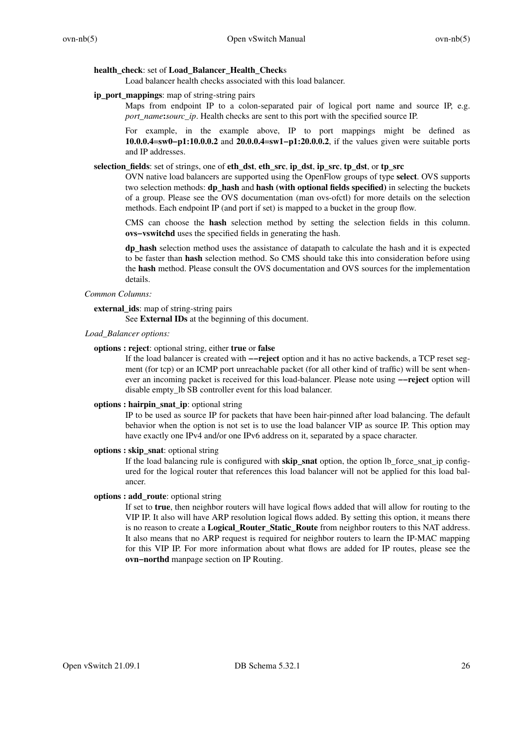### **health\_check**: set of **Load\_Balancer\_Health\_Check**s

Load balancer health checks associated with this load balancer.

### **ip\_port\_mappings**: map of string-string pairs

Maps from endpoint IP to a colon-separated pair of logical port name and source IP, e.g. *port\_name*: *sourc\_ip*. Health checks are sent to this port with the specified source IP.

For example, in the example above, IP to port mappings might be defined as **10.0.0.4**=**sw0−p1:10.0.0.2** and **20.0.0.4**=**sw1−p1:20.0.0.2**, if the values given were suitable ports and IP addresses.

# **selection\_fields**: set of strings, one of **eth\_dst**, **eth\_src**, **ip\_dst**, **ip\_src**, **tp\_dst**, or **tp\_src**

OVN native load balancers are supported using the OpenFlow groups of type **select**. OVS supports two selection methods: **dp\_hash** and **hash (with optional fields specified)** in selecting the buckets of a group. Please see the OVS documentation (man ovs-ofctl) for more details on the selection methods. Each endpoint IP (and port if set) is mapped to a bucket in the group flow.

CMS can choose the **hash** selection method by setting the selection fields in this column. **ovs−vswitchd** uses the specified fields in generating the hash.

**dp\_hash** selection method uses the assistance of datapath to calculate the hash and it is expected to be faster than **hash** selection method. So CMS should take this into consideration before using the **hash** method. Please consult the OVS documentation and OVS sources for the implementation details.

# *Common Columns:*

# **external\_ids**: map of string-string pairs

See **External IDs** at the beginning of this document.

*Load\_Balancer options:*

## **options : reject**: optional string, either **true** or **false**

If the load balancer is created with **−−reject** option and it has no active backends, a TCP reset segment (for tcp) or an ICMP port unreachable packet (for all other kind of traffic) will be sent whenever an incoming packet is received for this load-balancer. Please note using **−−reject** option will disable empty\_lb SB controller event for this load balancer.

### **options : hairpin\_snat\_ip**: optional string

IP to be used as source IP for packets that have been hair-pinned after load balancing. The default behavior when the option is not set is to use the load balancer VIP as source IP. This option may have exactly one IPv4 and/or one IPv6 address on it, separated by a space character.

### **options : skip\_snat**: optional string

If the load balancing rule is configured with **skip\_snat** option, the option lb\_force\_snat\_ip configured for the logical router that references this load balancer will not be applied for this load balancer.

### **options : add\_route**: optional string

If set to **true**, then neighbor routers will have logical flows added that will allow for routing to the VIP IP. It also will have ARP resolution logical flows added. By setting this option, it means there is no reason to create a **Logical\_Router\_Static\_Route** from neighbor routers to this NAT address. It also means that no ARP request is required for neighbor routers to learn the IP-MAC mapping for this VIP IP. For more information about what flows are added for IP routes, please see the **ovn−northd** manpage section on IP Routing.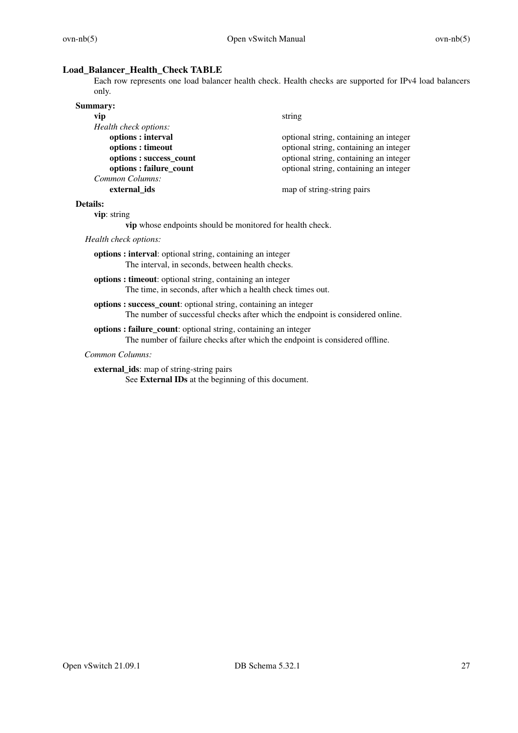# **Load\_Balancer\_Health\_Check TABLE**

Each row represents one load balancer health check. Health checks are supported for IPv4 load balancers only.

| <b>Summary:</b>         |                                        |
|-------------------------|----------------------------------------|
| vip                     | string                                 |
| Health check options:   |                                        |
| options: interval       | optional string, containing an integer |
| options : timeout       | optional string, containing an integer |
| options: success_count  | optional string, containing an integer |
| options : failure_count | optional string, containing an integer |
| Common Columns:         |                                        |
| external ids            | map of string-string pairs             |

# **Details:**

**vip**: string

**vip** whose endpoints should be monitored for health check.

*Health check options:*

**options : interval**: optional string, containing an integer The interval, in seconds, between health checks.

- **options : timeout**: optional string, containing an integer The time, in seconds, after which a health check times out.
- **options : success\_count**: optional string, containing an integer The number of successful checks after which the endpoint is considered online.

# **options : failure\_count**: optional string, containing an integer

The number of failure checks after which the endpoint is considered offline.

### *Common Columns:*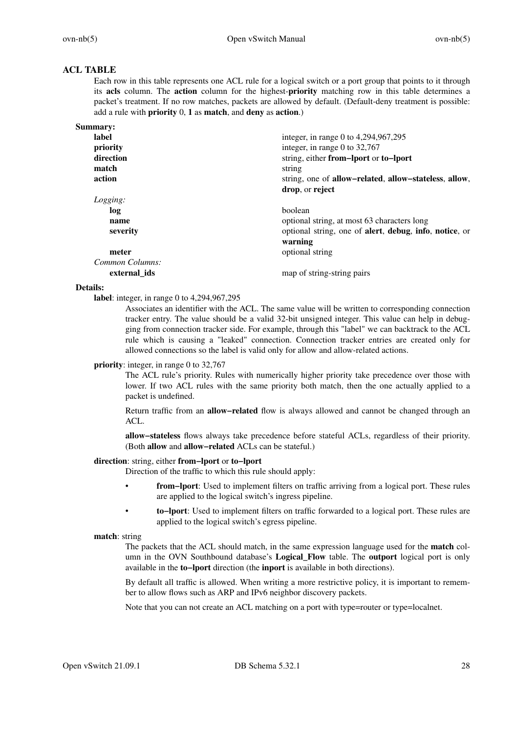# **ACL TABLE**

Each row in this table represents one ACL rule for a logical switch or a port group that points to it through its **acls** column. The **action** column for the highest-**priority** matching row in this table determines a packet's treatment. If no row matches, packets are allowed by default. (Default-deny treatment is possible: add a rule with **priority** 0, **1** as **match**, and **deny** as **action**.)

| integer, in range 0 to 4,294,967,295                   |
|--------------------------------------------------------|
| integer, in range 0 to $32,767$                        |
| string, either from-lport or to-lport                  |
| string                                                 |
| string, one of allow-related, allow-stateless, allow,  |
| drop, or reject                                        |
|                                                        |
| boolean                                                |
| optional string, at most 63 characters long            |
| optional string, one of alert, debug, info, notice, or |
| warning                                                |
| optional string                                        |
|                                                        |
| map of string-string pairs                             |
|                                                        |

### **Details:**

**label**: integer, in range 0 to 4,294,967,295

Associates an identifier with the ACL. The same value will be written to corresponding connection tracker entry. The value should be a valid 32-bit unsigned integer. This value can help in debugging from connection tracker side. For example, through this "label" we can backtrack to the ACL rule which is causing a "leaked" connection. Connection tracker entries are created only for allowed connections so the label is valid only for allow and allow-related actions.

### **priority**: integer, in range 0 to 32,767

The ACL rule's priority. Rules with numerically higher priority take precedence over those with lower. If two ACL rules with the same priority both match, then the one actually applied to a packet is undefined.

Return traffic from an **allow−related** flow is always allowed and cannot be changed through an ACL.

**allow−stateless** flows always take precedence before stateful ACLs, regardless of their priority. (Both **allow** and **allow−related** ACLs can be stateful.)

### **direction**: string, either **from−lport** or **to−lport**

Direction of the traffic to which this rule should apply:

- **from−lport**: Used to implement filters on traffic arriving from a logical port. These rules are applied to the logical switch's ingress pipeline.
- **to−lport**: Used to implement filters on traffic forwarded to a logical port. These rules are applied to the logical switch's egress pipeline.

### **match**: string

The packets that the ACL should match, in the same expression language used for the **match** column in the OVN Southbound database's **Logical\_Flow** table. The **outport** logical port is only available in the **to−lport** direction (the **inport** is available in both directions).

By default all traffic is allowed. When writing a more restrictive policy, it is important to remember to allow flows such as ARP and IPv6 neighbor discovery packets.

Note that you can not create an ACL matching on a port with type=router or type=localnet.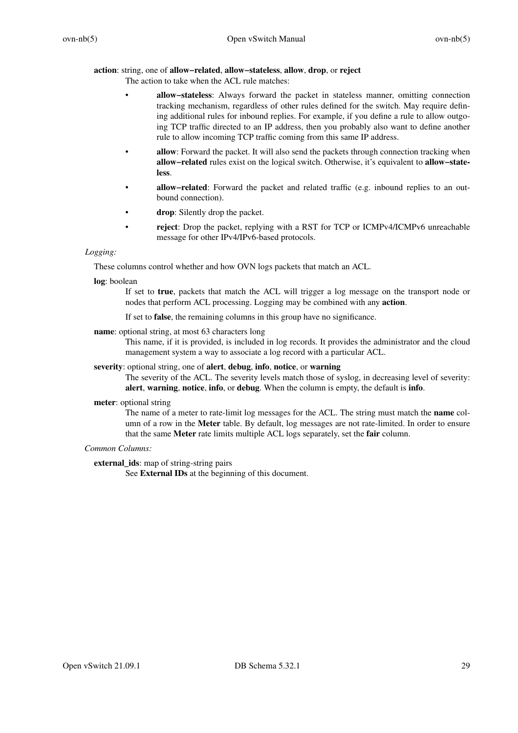# **action**: string, one of **allow−related**, **allow−stateless**, **allow**, **drop**, or **reject**

The action to take when the ACL rule matches:

- **allow−stateless**: Always forward the packet in stateless manner, omitting connection tracking mechanism, regardless of other rules defined for the switch. May require defining additional rules for inbound replies. For example, if you define a rule to allow outgoing TCP traffic directed to an IP address, then you probably also want to define another rule to allow incoming TCP traffic coming from this same IP address.
- **allow**: Forward the packet. It will also send the packets through connection tracking when **allow−related** rules exist on the logical switch. Otherwise, it's equivalent to **allow−stateless**.
- **allow−related**: Forward the packet and related traffic (e.g. inbound replies to an outbound connection).
- drop: Silently drop the packet.
- **reject**: Drop the packet, replying with a RST for TCP or ICMPv4/ICMPv6 unreachable message for other IPv4/IPv6-based protocols.

# *Logging:*

These columns control whether and how OVN logs packets that match an ACL.

## **log**: boolean

If set to **true**, packets that match the ACL will trigger a log message on the transport node or nodes that perform ACL processing. Logging may be combined with any **action**.

If set to **false**, the remaining columns in this group have no significance.

**name**: optional string, at most 63 characters long

This name, if it is provided, is included in log records. It provides the administrator and the cloud management system a way to associate a log record with a particular ACL.

# **severity**: optional string, one of **alert**, **debug**, **info**, **notice**, or **warning**

The severity of the ACL. The severity levels match those of syslog, in decreasing level of severity: **alert**, **warning**, **notice**, **info**, or **debug**. When the column is empty, the default is **info**.

## **meter**: optional string

The name of a meter to rate-limit log messages for the ACL. The string must match the **name** column of a row in the **Meter** table. By default, log messages are not rate-limited. In order to ensure that the same **Meter** rate limits multiple ACL logs separately, set the **fair** column.

## *Common Columns:*

**external\_ids**: map of string-string pairs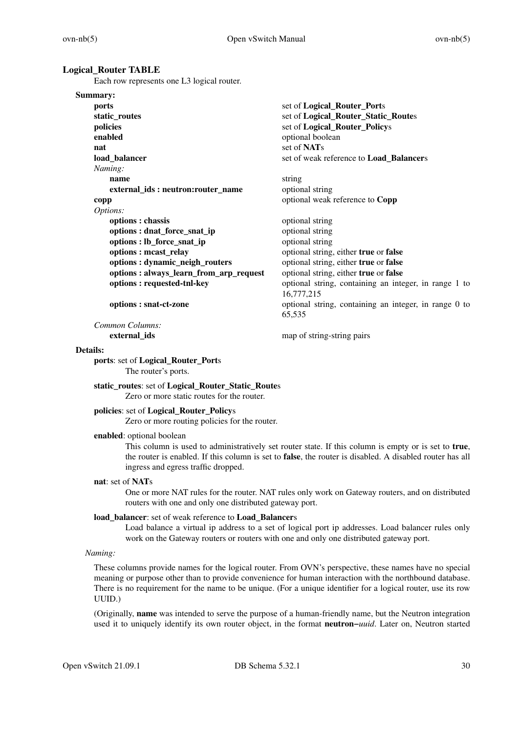### **Logical\_Router TABLE**

Each row represents one L3 logical router.

| Summary:                               |                                                                 |
|----------------------------------------|-----------------------------------------------------------------|
| ports                                  | set of Logical_Router_Ports                                     |
| static_routes                          | set of Logical_Router_Static_Routes                             |
| policies                               | set of Logical_Router_Policys                                   |
| enabled                                | optional boolean                                                |
| nat                                    | set of NATs                                                     |
| load_balancer                          | set of weak reference to Load_Balancers                         |
| Naming:                                |                                                                 |
| name                                   | string                                                          |
| external_ids: neutron:router_name      | optional string                                                 |
| copp                                   | optional weak reference to Copp                                 |
| Options:                               |                                                                 |
| options : chassis                      | optional string                                                 |
| options : dnat_force_snat_ip           | optional string                                                 |
| options : lb_force_snat_ip             | optional string                                                 |
| options: meast_relay                   | optional string, either true or false                           |
| options: dynamic_neigh_routers         | optional string, either true or false                           |
| options: always_learn_from_arp_request | optional string, either true or false                           |
| options: requested-tnl-key             | optional string, containing an integer, in range 1 to           |
|                                        | 16,777,215                                                      |
| options : snat-ct-zone                 | optional string, containing an integer, in range 0 to<br>65,535 |

*Common Columns:* **external\_ids** map of string-string pairs

#### **Details:**

**ports**: set of **Logical\_Router\_Port**s The router's ports.

**static\_routes**: set of **Logical\_Router\_Static\_Route**s Zero or more static routes for the router.

### **policies**: set of **Logical\_Router\_Policy**s

Zero or more routing policies for the router.

**enabled**: optional boolean

This column is used to administratively set router state. If this column is empty or is set to **true**, the router is enabled. If this column is set to **false**, the router is disabled. A disabled router has all ingress and egress traffic dropped.

# **nat**: set of **NAT**s

One or more NAT rules for the router. NAT rules only work on Gateway routers, and on distributed routers with one and only one distributed gateway port.

### **load\_balancer**: set of weak reference to **Load\_Balancer**s

Load balance a virtual ip address to a set of logical port ip addresses. Load balancer rules only work on the Gateway routers or routers with one and only one distributed gateway port.

## *Naming:*

These columns provide names for the logical router. From OVN's perspective, these names have no special meaning or purpose other than to provide convenience for human interaction with the northbound database. There is no requirement for the name to be unique. (For a unique identifier for a logical router, use its row UUID.)

(Originally, **name** was intended to serve the purpose of a human-friendly name, but the Neutron integration used it to uniquely identify its own router object, in the format **neutron−***uuid*. Later on, Neutron started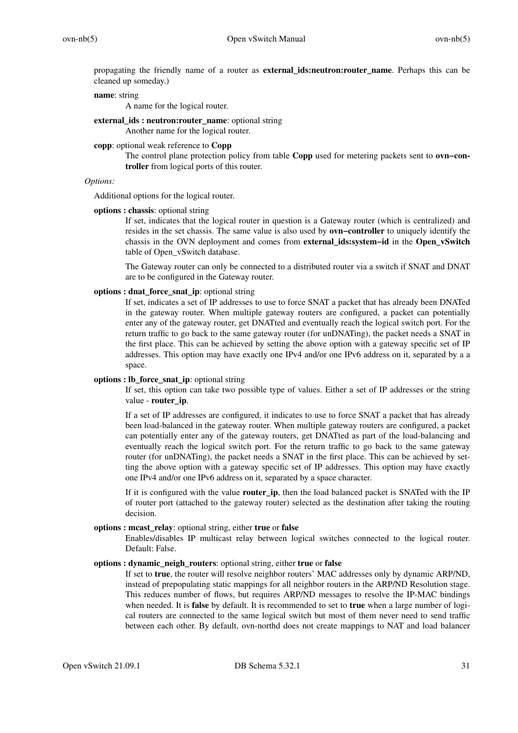propagating the friendly name of a router as **external\_ids:neutron:router\_name**. Perhaps this can be cleaned up someday.)

### **name**: string

A name for the logical router.

**external\_ids : neutron:router\_name**: optional string

# Another name for the logical router.

**copp**: optional weak reference to **Copp**

The control plane protection policy from table **Copp** used for metering packets sent to **ovn−controller** from logical ports of this router.

# *Options:*

Additional options for the logical router.

### **options : chassis**: optional string

If set, indicates that the logical router in question is a Gateway router (which is centralized) and resides in the set chassis. The same value is also used by **ovn−controller** to uniquely identify the chassis in the OVN deployment and comes from **external\_ids:system−id** in the **Open\_vSwitch** table of Open\_vSwitch database.

The Gateway router can only be connected to a distributed router via a switch if SNAT and DNAT are to be configured in the Gateway router.

### **options : dnat\_force\_snat\_ip**: optional string

If set, indicates a set of IP addresses to use to force SNAT a packet that has already been DNATed in the gateway router. When multiple gateway routers are configured, a packet can potentially enter any of the gateway router, get DNATted and eventually reach the logical switch port. For the return traffic to go back to the same gateway router (for unDNATing), the packet needs a SNAT in the first place. This can be achieved by setting the above option with a gateway specific set of IP addresses. This option may have exactly one IPv4 and/or one IPv6 address on it, separated by a a space.

## **options : lb\_force\_snat\_ip**: optional string

If set, this option can take two possible type of values. Either a set of IP addresses or the string value - **router\_ip**.

If a set of IP addresses are configured, it indicates to use to force SNAT a packet that has already been load-balanced in the gateway router. When multiple gateway routers are configured, a packet can potentially enter any of the gateway routers, get DNATted as part of the load-balancing and eventually reach the logical switch port. For the return traffic to go back to the same gateway router (for unDNATing), the packet needs a SNAT in the first place. This can be achieved by setting the above option with a gateway specific set of IP addresses. This option may have exactly one IPv4 and/or one IPv6 address on it, separated by a space character.

If it is configured with the value **router\_ip**, then the load balanced packet is SNATed with the IP of router port (attached to the gateway router) selected as the destination after taking the routing decision.

## **options : mcast\_relay**: optional string, either **true** or **false**

Enables/disables IP multicast relay between logical switches connected to the logical router. Default: False.

# **options : dynamic\_neigh\_routers**: optional string, either **true** or **false**

If set to **true**, the router will resolve neighbor routers' MAC addresses only by dynamic ARP/ND, instead of prepopulating static mappings for all neighbor routers in the ARP/ND Resolution stage. This reduces number of flows, but requires ARP/ND messages to resolve the IP-MAC bindings when needed. It is **false** by default. It is recommended to set to **true** when a large number of logical routers are connected to the same logical switch but most of them never need to send traffic between each other. By default, ovn-northd does not create mappings to NAT and load balancer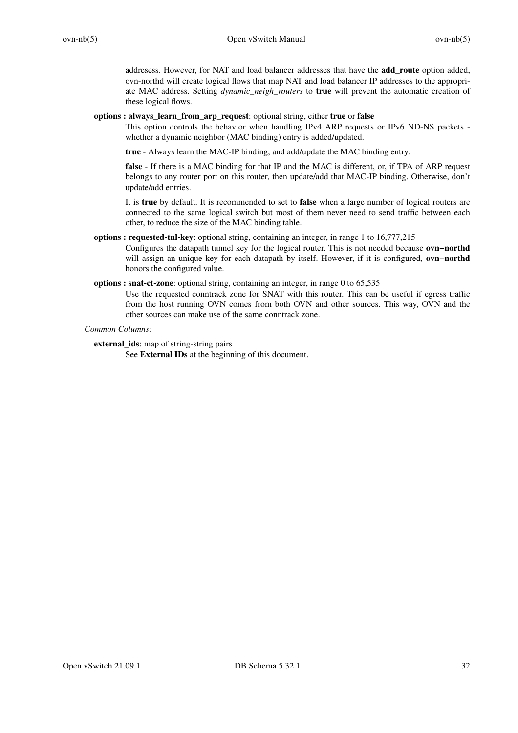addresess. However, for NAT and load balancer addresses that have the **add\_route** option added, ovn-northd will create logical flows that map NAT and load balancer IP addresses to the appropriate MAC address. Setting *dynamic\_neigh\_routers* to **true** will prevent the automatic creation of these logical flows.

# **options : always\_learn\_from\_arp\_request**: optional string, either **true** or **false**

This option controls the behavior when handling IPv4 ARP requests or IPv6 ND-NS packets whether a dynamic neighbor (MAC binding) entry is added/updated.

**true** - Always learn the MAC-IP binding, and add/update the MAC binding entry.

**false** - If there is a MAC binding for that IP and the MAC is different, or, if TPA of ARP request belongs to any router port on this router, then update/add that MAC-IP binding. Otherwise, don't update/add entries.

It is **true** by default. It is recommended to set to **false** when a large number of logical routers are connected to the same logical switch but most of them never need to send traffic between each other, to reduce the size of the MAC binding table.

# **options : requested-tnl-key**: optional string, containing an integer, in range 1 to 16,777,215

Configures the datapath tunnel key for the logical router. This is not needed because **ovn−northd** will assign an unique key for each datapath by itself. However, if it is configured, **ovn−northd** honors the configured value.

# **options : snat-ct-zone**: optional string, containing an integer, in range 0 to 65,535

Use the requested conntrack zone for SNAT with this router. This can be useful if egress traffic from the host running OVN comes from both OVN and other sources. This way, OVN and the other sources can make use of the same conntrack zone.

# *Common Columns:*

**external\_ids**: map of string-string pairs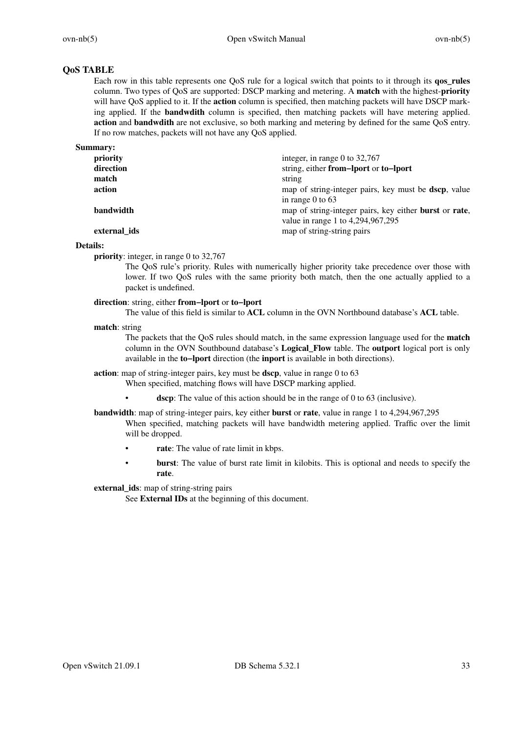# **QoS TABLE**

Each row in this table represents one QoS rule for a logical switch that points to it through its **qos\_rules** column. Two types of QoS are supported: DSCP marking and metering. A **match** with the highest-**priority** will have QoS applied to it. If the **action** column is specified, then matching packets will have DSCP marking applied. If the **bandwdith** column is specified, then matching packets will have metering applied. **action** and **bandwdith** are not exclusive, so both marking and metering by defined for the same QoS entry. If no row matches, packets will not have any QoS applied.

**Summary:**

| , ,          |                                                                       |
|--------------|-----------------------------------------------------------------------|
| priority     | integer, in range 0 to $32,767$                                       |
| direction    | string, either from-lport or to-lport                                 |
| match        | string                                                                |
| action       | map of string-integer pairs, key must be <b>dscp</b> , value          |
|              | in range $0$ to 63                                                    |
| bandwidth    | map of string-integer pairs, key either <b>burst</b> or <b>rate</b> , |
|              | value in range 1 to 4,294,967,295                                     |
| external ids | map of string-string pairs                                            |
|              |                                                                       |

## **Details:**

**priority**: integer, in range 0 to 32,767

The QoS rule's priority. Rules with numerically higher priority take precedence over those with lower. If two QoS rules with the same priority both match, then the one actually applied to a packet is undefined.

## **direction**: string, either **from−lport** or **to−lport**

The value of this field is similar to **ACL** column in the OVN Northbound database's **ACL** table.

## **match**: string

The packets that the QoS rules should match, in the same expression language used for the **match** column in the OVN Southbound database's **Logical\_Flow** table. The **outport** logical port is only available in the **to−lport** direction (the **inport** is available in both directions).

## **action**: map of string-integer pairs, key must be **dscp**, value in range 0 to 63

When specified, matching flows will have DSCP marking applied.

**dscp**: The value of this action should be in the range of 0 to 63 (inclusive).

**bandwidth**: map of string-integer pairs, key either **burst** or **rate**, value in range 1 to 4,294,967,295

- When specified, matching packets will have bandwidth metering applied. Traffic over the limit will be dropped.
- **rate**: The value of rate limit in kbps.
- **burst**: The value of burst rate limit in kilobits. This is optional and needs to specify the **rate**.

## **external\_ids**: map of string-string pairs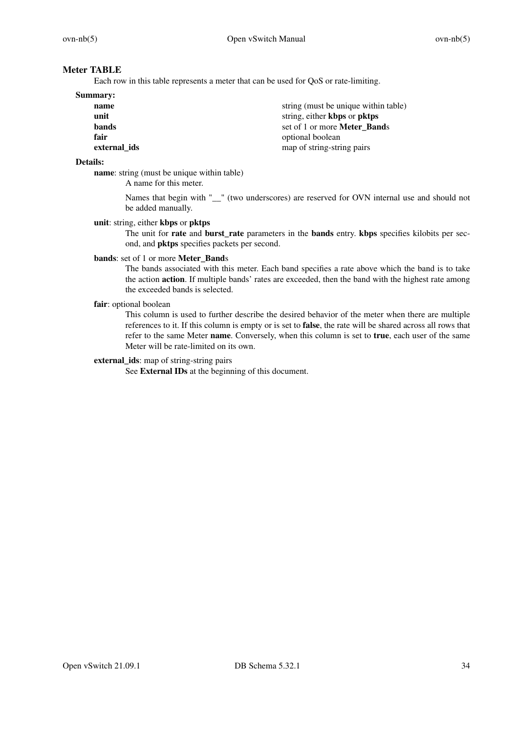# **Meter TABLE**

Each row in this table represents a meter that can be used for QoS or rate-limiting.

| <b>Summary:</b> |                                      |
|-----------------|--------------------------------------|
| name            | string (must be unique within table) |
| unit            | string, either kbps or pktps         |
| bands           | set of 1 or more Meter Bands         |
| fair            | optional boolean                     |
| external ids    | map of string-string pairs           |

### **Details:**

**name**: string (must be unique within table)

A name for this meter.

Names that begin with " " (two underscores) are reserved for OVN internal use and should not be added manually.

# **unit**: string, either **kbps** or **pktps**

The unit for **rate** and **burst\_rate** parameters in the **bands** entry. **kbps** specifies kilobits per second, and **pktps** specifies packets per second.

## **bands**: set of 1 or more **Meter\_Band**s

The bands associated with this meter. Each band specifies a rate above which the band is to take the action **action**. If multiple bands' rates are exceeded, then the band with the highest rate among the exceeded bands is selected.

## **fair**: optional boolean

This column is used to further describe the desired behavior of the meter when there are multiple references to it. If this column is empty or is set to **false**, the rate will be shared across all rows that refer to the same Meter **name**. Conversely, when this column is set to **true**, each user of the same Meter will be rate-limited on its own.

# **external\_ids**: map of string-string pairs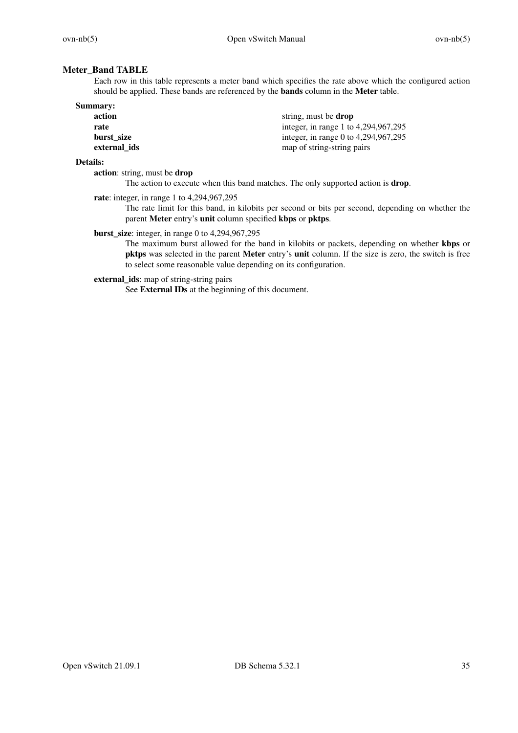# **Meter\_Band TABLE**

Each row in this table represents a meter band which specifies the rate above which the configured action should be applied. These bands are referenced by the **bands** column in the **Meter** table.

| <b>Summary:</b> |                                      |
|-----------------|--------------------------------------|
| action          | string, must be <b>drop</b>          |
| rate            | integer, in range 1 to 4,294,967,295 |
| burst size      | integer, in range 0 to 4,294,967,295 |
| external ids    | map of string-string pairs           |

### **Details:**

**action**: string, must be **drop**

The action to execute when this band matches. The only supported action is **drop**.

**rate**: integer, in range 1 to 4,294,967,295

The rate limit for this band, in kilobits per second or bits per second, depending on whether the parent **Meter** entry's **unit** column specified **kbps** or **pktps**.

**burst\_size**: integer, in range 0 to 4,294,967,295

The maximum burst allowed for the band in kilobits or packets, depending on whether **kbps** or **pktps** was selected in the parent **Meter** entry's **unit** column. If the size is zero, the switch is free to select some reasonable value depending on its configuration.

**external\_ids**: map of string-string pairs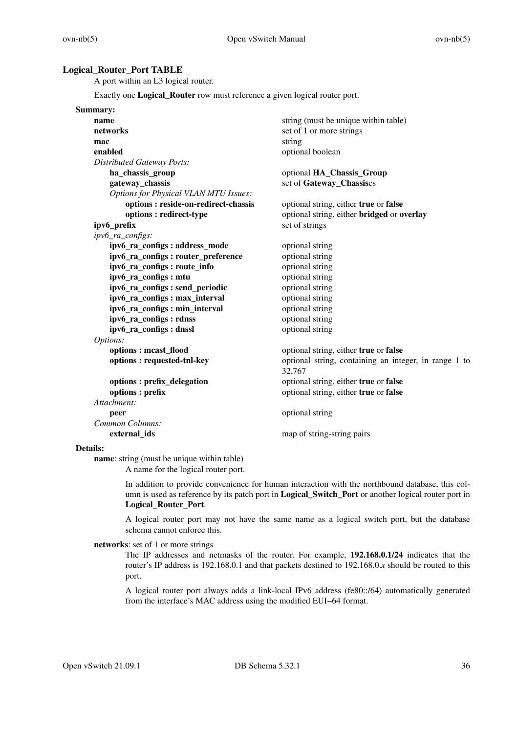# **Logical\_Router\_Port TABLE**

A port within an L3 logical router.

Exactly one **Logical\_Router** row must reference a given logical router port.

| Summary:                                     |                                                                 |
|----------------------------------------------|-----------------------------------------------------------------|
| name                                         | string (must be unique within table)                            |
| networks                                     | set of 1 or more strings                                        |
| mac                                          | string                                                          |
| enabled                                      | optional boolean                                                |
| <b>Distributed Gateway Ports:</b>            |                                                                 |
| ha_chassis_group                             | optional HA_Chassis_Group                                       |
| gateway_chassis                              | set of Gateway_Chassises                                        |
| <b>Options for Physical VLAN MTU Issues:</b> |                                                                 |
| options : reside-on-redirect-chassis         | optional string, either true or false                           |
| options: redirect-type                       | optional string, either bridged or overlay                      |
| ipv6_prefix                                  | set of strings                                                  |
| ipv6_ra_configs:                             |                                                                 |
| ipv6_ra_configs: address_mode                | optional string                                                 |
| ipv6_ra_configs: router_preference           | optional string                                                 |
| ipv6_ra_configs: route_info                  | optional string                                                 |
| ipv6_ra_configs: mtu                         | optional string                                                 |
| ipv6_ra_configs: send_periodic               | optional string                                                 |
| ipv6_ra_configs: max_interval                | optional string                                                 |
| ipv6_ra_configs: min_interval                | optional string                                                 |
| ipv6_ra_configs: rdnss                       | optional string                                                 |
| ipv6_ra_configs: dnssl                       | optional string                                                 |
| Options:                                     |                                                                 |
| options: meast_flood                         | optional string, either true or false                           |
| options: requested-tnl-key                   | optional string, containing an integer, in range 1 to<br>32,767 |
| options : prefix_delegation                  | optional string, either true or false                           |
| options : prefix                             | optional string, either true or false                           |
| Attachment:                                  |                                                                 |
| peer                                         | optional string                                                 |
| Common Columns:                              |                                                                 |
| external_ids                                 | map of string-string pairs                                      |
| $\mathbf{D}$ . 4. $\mathbf{H}$ .             |                                                                 |

### **Details:**

**name**: string (must be unique within table) A name for the logical router port.

> In addition to provide convenience for human interaction with the northbound database, this column is used as reference by its patch port in **Logical\_Switch\_Port** or another logical router port in **Logical\_Router\_Port**.

> A logical router port may not have the same name as a logical switch port, but the database schema cannot enforce this.

### **networks**: set of 1 or more strings

The IP addresses and netmasks of the router. For example, **192.168.0.1/24** indicates that the router's IP address is 192.168.0.1 and that packets destined to 192.168.0.*x* should be routed to this port.

A logical router port always adds a link-local IPv6 address (fe80::/64) automatically generated from the interface's MAC address using the modified EUI−64 format.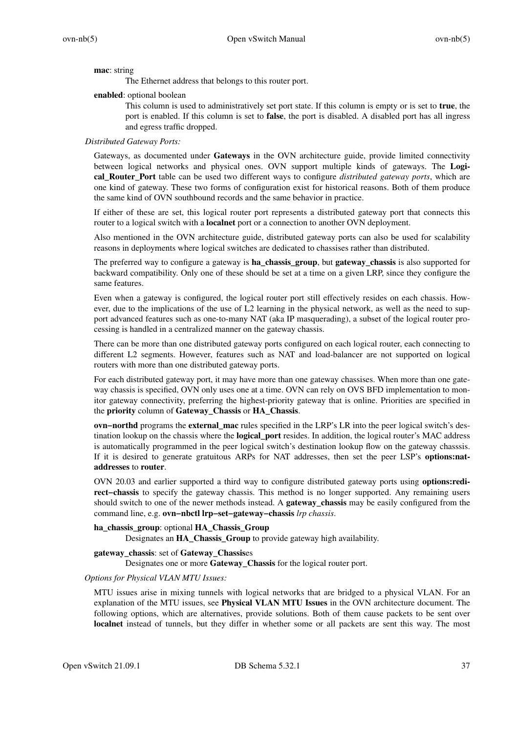## **mac**: string

The Ethernet address that belongs to this router port.

### **enabled**: optional boolean

This column is used to administratively set port state. If this column is empty or is set to **true**, the port is enabled. If this column is set to **false**, the port is disabled. A disabled port has all ingress and egress traffic dropped.

### *Distributed Gateway Ports:*

Gateways, as documented under **Gateways** in the OVN architecture guide, provide limited connectivity between logical networks and physical ones. OVN support multiple kinds of gateways. The **Logical\_Router\_Port** table can be used two different ways to configure *distributed gateway ports*, which are one kind of gateway. These two forms of configuration exist for historical reasons. Both of them produce the same kind of OVN southbound records and the same behavior in practice.

If either of these are set, this logical router port represents a distributed gateway port that connects this router to a logical switch with a **localnet** port or a connection to another OVN deployment.

Also mentioned in the OVN architecture guide, distributed gateway ports can also be used for scalability reasons in deployments where logical switches are dedicated to chassises rather than distributed.

The preferred way to configure a gateway is **ha\_chassis\_group**, but **gateway\_chassis** is also supported for backward compatibility. Only one of these should be set at a time on a given LRP, since they configure the same features.

Even when a gateway is configured, the logical router port still effectively resides on each chassis. However, due to the implications of the use of L2 learning in the physical network, as well as the need to support advanced features such as one-to-many NAT (aka IP masquerading), a subset of the logical router processing is handled in a centralized manner on the gateway chassis.

There can be more than one distributed gateway ports configured on each logical router, each connecting to different L2 segments. However, features such as NAT and load-balancer are not supported on logical routers with more than one distributed gateway ports.

For each distributed gateway port, it may have more than one gateway chassises. When more than one gateway chassis is specified, OVN only uses one at a time. OVN can rely on OVS BFD implementation to monitor gateway connectivity, preferring the highest-priority gateway that is online. Priorities are specified in the **priority** column of **Gateway\_Chassis** or **HA\_Chassis**.

**ovn−northd** programs the **external\_mac** rules specified in the LRP's LR into the peer logical switch's destination lookup on the chassis where the **logical\_port** resides. In addition, the logical router's MAC address is automatically programmed in the peer logical switch's destination lookup flow on the gateway chasssis. If it is desired to generate gratuitous ARPs for NAT addresses, then set the peer LSP's **options:nataddresses** to **router**.

OVN 20.03 and earlier supported a third way to configure distributed gateway ports using **options:redirect−chassis** to specify the gateway chassis. This method is no longer supported. Any remaining users should switch to one of the newer methods instead. A **gateway\_chassis** may be easily configured from the command line, e.g. **ovn−nbctl lrp−set−gateway−chassis** *lrp chassis*.

## **ha\_chassis\_group**: optional **HA\_Chassis\_Group**

Designates an **HA\_Chassis\_Group** to provide gateway high availability.

## **gateway\_chassis**: set of **Gateway\_Chassis**es

Designates one or more **Gateway\_Chassis** for the logical router port.

## *Options for Physical VLAN MTU Issues:*

MTU issues arise in mixing tunnels with logical networks that are bridged to a physical VLAN. For an explanation of the MTU issues, see **Physical VLAN MTU Issues** in the OVN architecture document. The following options, which are alternatives, provide solutions. Both of them cause packets to be sent over **localnet** instead of tunnels, but they differ in whether some or all packets are sent this way. The most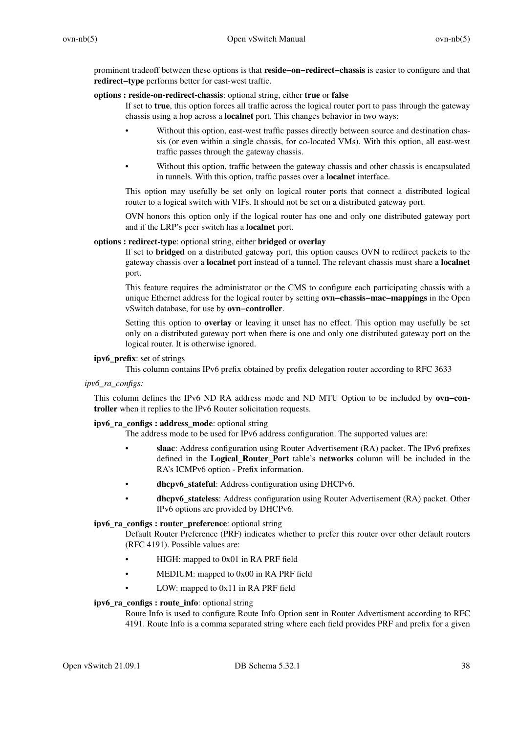prominent tradeoff between these options is that **reside−on−redirect−chassis** is easier to configure and that **redirect−type** performs better for east-west traffic.

## **options : reside-on-redirect-chassis**: optional string, either **true** or **false**

If set to **true**, this option forces all traffic across the logical router port to pass through the gateway chassis using a hop across a **localnet** port. This changes behavior in two ways:

- Without this option, east-west traffic passes directly between source and destination chassis (or even within a single chassis, for co-located VMs). With this option, all east-west traffic passes through the gateway chassis.
- Without this option, traffic between the gateway chassis and other chassis is encapsulated in tunnels. With this option, traffic passes over a **localnet** interface.

This option may usefully be set only on logical router ports that connect a distributed logical router to a logical switch with VIFs. It should not be set on a distributed gateway port.

OVN honors this option only if the logical router has one and only one distributed gateway port and if the LRP's peer switch has a **localnet** port.

# **options : redirect-type**: optional string, either **bridged** or **overlay**

If set to **bridged** on a distributed gateway port, this option causes OVN to redirect packets to the gateway chassis over a **localnet** port instead of a tunnel. The relevant chassis must share a **localnet** port.

This feature requires the administrator or the CMS to configure each participating chassis with a unique Ethernet address for the logical router by setting **ovn−chassis−mac−mappings** in the Open vSwitch database, for use by **ovn−controller**.

Setting this option to **overlay** or leaving it unset has no effect. This option may usefully be set only on a distributed gateway port when there is one and only one distributed gateway port on the logical router. It is otherwise ignored.

## **ipv6\_prefix**: set of strings

This column contains IPv6 prefix obtained by prefix delegation router according to RFC 3633

*ipv6\_ra\_configs:*

This column defines the IPv6 ND RA address mode and ND MTU Option to be included by **ovn−controller** when it replies to the IPv6 Router solicitation requests.

# **ipv6\_ra\_configs : address\_mode**: optional string

The address mode to be used for IPv6 address configuration. The supported values are:

- **slaac**: Address configuration using Router Advertisement (RA) packet. The IPv6 prefixes defined in the **Logical\_Router\_Port** table's **networks** column will be included in the RA's ICMPv6 option - Prefix information.
- **dhcpv6\_stateful**: Address configuration using DHCPv6.
- **dhcpv6\_stateless**: Address configuration using Router Advertisement (RA) packet. Other IPv6 options are provided by DHCPv6.

# **ipv6\_ra\_configs : router\_preference**: optional string

Default Router Preference (PRF) indicates whether to prefer this router over other default routers (RFC 4191). Possible values are:

- HIGH: mapped to 0x01 in RA PRF field
- MEDIUM: mapped to 0x00 in RA PRF field
- LOW: mapped to 0x11 in RA PRF field

### **ipv6\_ra\_configs : route\_info**: optional string

Route Info is used to configure Route Info Option sent in Router Advertisment according to RFC 4191. Route Info is a comma separated string where each field provides PRF and prefix for a given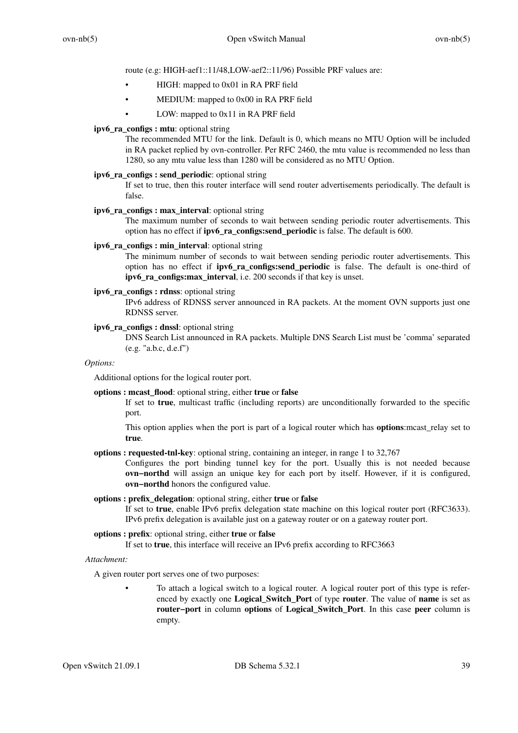route (e.g: HIGH-aef1::11/48,LOW-aef2::11/96) Possible PRF values are:

- HIGH: mapped to 0x01 in RA PRF field
- MEDIUM: mapped to 0x00 in RA PRF field
- LOW: mapped to 0x11 in RA PRF field

## **ipv6\_ra\_configs : mtu**: optional string

The recommended MTU for the link. Default is 0, which means no MTU Option will be included in RA packet replied by ovn-controller. Per RFC 2460, the mtu value is recommended no less than 1280, so any mtu value less than 1280 will be considered as no MTU Option.

## **ipv6\_ra\_configs : send\_periodic**: optional string

If set to true, then this router interface will send router advertisements periodically. The default is false.

# **ipv6\_ra\_configs : max\_interval**: optional string

The maximum number of seconds to wait between sending periodic router advertisements. This option has no effect if **ipv6\_ra\_configs:send\_periodic** is false. The default is 600.

# **ipv6** ra configs : min interval: optional string

The minimum number of seconds to wait between sending periodic router advertisements. This option has no effect if **ipv6\_ra\_configs:send\_periodic** is false. The default is one-third of **ipv6\_ra\_configs:max\_interval**, i.e. 200 seconds if that key is unset.

# **ipv6\_ra\_configs : rdnss**: optional string

IPv6 address of RDNSS server announced in RA packets. At the moment OVN supports just one RDNSS server.

## **ipv6\_ra\_configs : dnssl**: optional string

DNS Search List announced in RA packets. Multiple DNS Search List must be 'comma' separated (e.g. "a.b.c, d.e.f")

### *Options:*

Additional options for the logical router port.

## **options : mcast\_flood**: optional string, either **true** or **false**

If set to **true**, multicast traffic (including reports) are unconditionally forwarded to the specific port.

This option applies when the port is part of a logical router which has **options**:mcast\_relay set to **true**.

**options : requested-tnl-key**: optional string, containing an integer, in range 1 to 32,767

Configures the port binding tunnel key for the port. Usually this is not needed because **ovn−northd** will assign an unique key for each port by itself. However, if it is configured, **ovn−northd** honors the configured value.

## **options : prefix\_delegation**: optional string, either **true** or **false**

If set to **true**, enable IPv6 prefix delegation state machine on this logical router port (RFC3633). IPv6 prefix delegation is available just on a gateway router or on a gateway router port.

## **options : prefix**: optional string, either **true** or **false**

If set to **true**, this interface will receive an IPv6 prefix according to RFC3663

## *Attachment:*

A given router port serves one of two purposes:

To attach a logical switch to a logical router. A logical router port of this type is referenced by exactly one **Logical\_Switch\_Port** of type **router**. The value of **name** is set as **router−port** in column **options** of **Logical\_Switch\_Port**. In this case **peer** column is empty.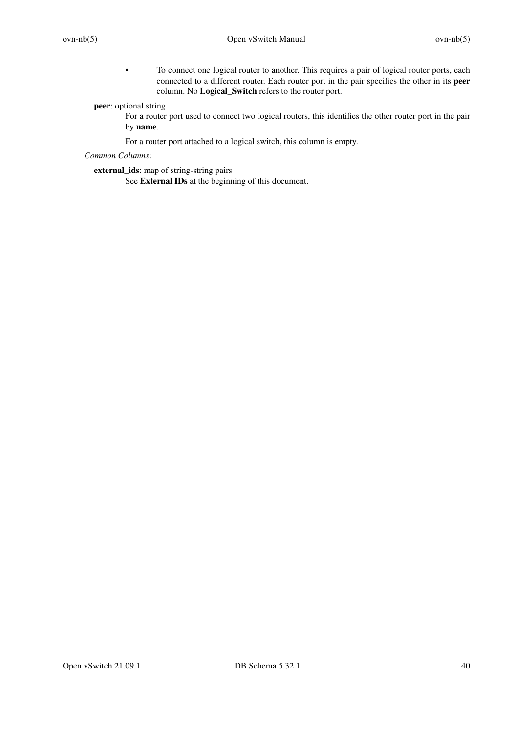• To connect one logical router to another. This requires a pair of logical router ports, each connected to a different router. Each router port in the pair specifies the other in its **peer** column. No **Logical\_Switch** refers to the router port.

**peer**: optional string

For a router port used to connect two logical routers, this identifies the other router port in the pair by **name**.

For a router port attached to a logical switch, this column is empty.

*Common Columns:*

**external\_ids**: map of string-string pairs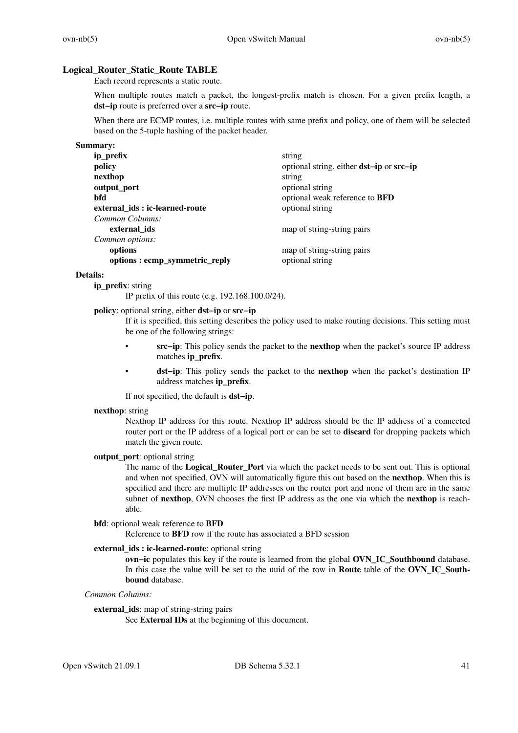## **Logical\_Router\_Static\_Route TABLE**

Each record represents a static route.

When multiple routes match a packet, the longest-prefix match is chosen. For a given prefix length, a **dst−ip** route is preferred over a **src−ip** route.

When there are ECMP routes, i.e. multiple routes with same prefix and policy, one of them will be selected based on the 5-tuple hashing of the packet header.

| Summary:                       |                                                        |
|--------------------------------|--------------------------------------------------------|
| ip_prefix                      | string                                                 |
| policy                         | optional string, either <b>dst-ip</b> or <b>src-ip</b> |
| nexthop                        | string                                                 |
| output port                    | optional string                                        |
| bfd                            | optional weak reference to BFD                         |
| external ids: ic-learned-route | optional string                                        |
| Common Columns:                |                                                        |
| external_ids                   | map of string-string pairs                             |
| Common options:                |                                                        |
| options                        | map of string-string pairs                             |
| options: ecmp_symmetric_reply  | optional string                                        |

### **Details:**

**ip\_prefix**: string

IP prefix of this route (e.g. 192.168.100.0/24).

## **policy**: optional string, either **dst−ip** or **src−ip**

If it is specified, this setting describes the policy used to make routing decisions. This setting must be one of the following strings:

- **src−ip**: This policy sends the packet to the **nexthop** when the packet's source IP address matches **ip\_prefix**.
- **dst−ip**: This policy sends the packet to the **nexthop** when the packet's destination IP address matches **ip\_prefix**.

If not specified, the default is **dst−ip**.

### **nexthop**: string

Nexthop IP address for this route. Nexthop IP address should be the IP address of a connected router port or the IP address of a logical port or can be set to **discard** for dropping packets which match the given route.

# **output\_port**: optional string

The name of the **Logical\_Router\_Port** via which the packet needs to be sent out. This is optional and when not specified, OVN will automatically figure this out based on the **nexthop**. When this is specified and there are multiple IP addresses on the router port and none of them are in the same subnet of **nexthop**, OVN chooses the first IP address as the one via which the **nexthop** is reachable.

## **bfd**: optional weak reference to **BFD**

Reference to **BFD** row if the route has associated a BFD session

# **external ids : ic-learned-route**: optional string

**ovn−ic** populates this key if the route is learned from the global **OVN\_IC\_Southbound** database. In this case the value will be set to the uuid of the row in **Route** table of the **OVN\_IC\_Southbound** database.

# *Common Columns:*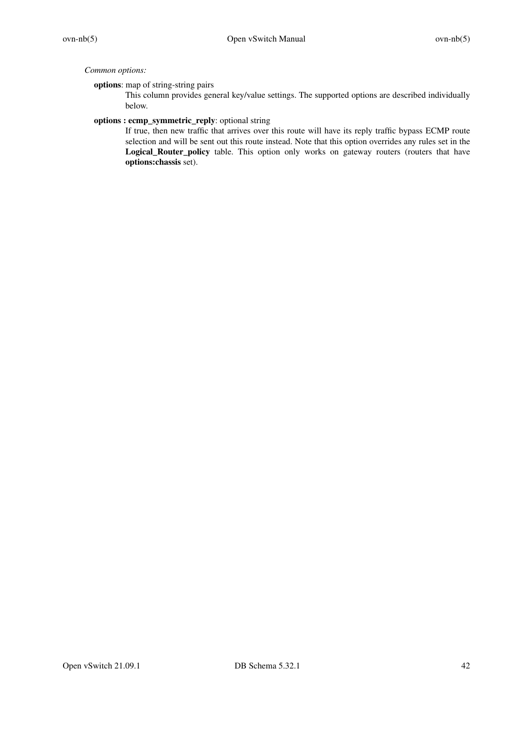# *Common options:*

# **options**: map of string-string pairs

This column provides general key/value settings. The supported options are described individually below.

# **options : ecmp\_symmetric\_reply**: optional string

If true, then new traffic that arrives over this route will have its reply traffic bypass ECMP route selection and will be sent out this route instead. Note that this option overrides any rules set in the Logical\_Router\_policy table. This option only works on gateway routers (routers that have **options:chassis** set).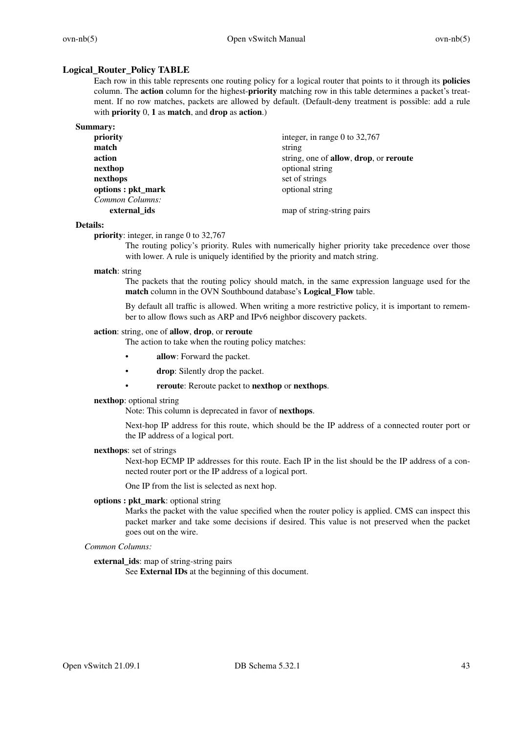# **Logical\_Router\_Policy TABLE**

Each row in this table represents one routing policy for a logical router that points to it through its **policies** column. The **action** column for the highest-**priority** matching row in this table determines a packet's treatment. If no row matches, packets are allowed by default. (Default-deny treatment is possible: add a rule with **priority** 0, **1** as **match**, and **drop** as **action**.)

| priority           | integer, in range 0 to $32,767$        |
|--------------------|----------------------------------------|
| match              | string                                 |
| action             | string, one of allow, drop, or reroute |
| nexthop            | optional string                        |
| nexthops           | set of strings                         |
| options : pkt_mark | optional string                        |
| Common Columns:    |                                        |
| external ids       | map of string-string pairs             |
|                    |                                        |

## **Details:**

**priority**: integer, in range 0 to 32,767

The routing policy's priority. Rules with numerically higher priority take precedence over those with lower. A rule is uniquely identified by the priority and match string.

## **match**: string

The packets that the routing policy should match, in the same expression language used for the **match** column in the OVN Southbound database's **Logical\_Flow** table.

By default all traffic is allowed. When writing a more restrictive policy, it is important to remember to allow flows such as ARP and IPv6 neighbor discovery packets.

## **action**: string, one of **allow**, **drop**, or **reroute**

The action to take when the routing policy matches:

- allow: Forward the packet.
- **drop**: Silently drop the packet.
- **reroute**: Reroute packet to **nexthop** or **nexthops**.

## **nexthop**: optional string

Note: This column is deprecated in favor of **nexthops**.

Next-hop IP address for this route, which should be the IP address of a connected router port or the IP address of a logical port.

## **nexthops**: set of strings

Next-hop ECMP IP addresses for this route. Each IP in the list should be the IP address of a connected router port or the IP address of a logical port.

One IP from the list is selected as next hop.

**options : pkt\_mark**: optional string

Marks the packet with the value specified when the router policy is applied. CMS can inspect this packet marker and take some decisions if desired. This value is not preserved when the packet goes out on the wire.

# *Common Columns:*

**external\_ids**: map of string-string pairs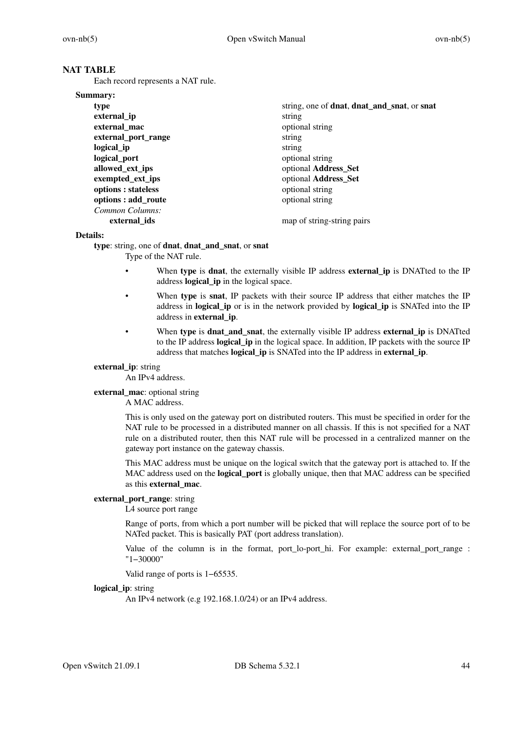# **NAT TABLE**

Each record represents a NAT rule.

| Summary:            |                                                                    |
|---------------------|--------------------------------------------------------------------|
| type                | string, one of <b>dnat</b> , <b>dnat_and_snat</b> , or <b>snat</b> |
| external ip         | string                                                             |
| external mac        | optional string                                                    |
| external port range | string                                                             |
| logical ip          | string                                                             |
| logical_port        | optional string                                                    |
| allowed_ext_ips     | optional Address_Set                                               |
| exempted_ext_ips    | optional Address_Set                                               |
| options : stateless | optional string                                                    |
| options : add_route | optional string                                                    |
| Common Columns:     |                                                                    |
| external ids        | map of string-string pairs                                         |

## **Details:**

**type**: string, one of **dnat**, **dnat\_and\_snat**, or **snat**

Type of the NAT rule.

- When **type** is **dnat**, the externally visible IP address **external ip** is DNATted to the IP address **logical\_ip** in the logical space.
- When **type** is **snat**, IP packets with their source IP address that either matches the IP address in **logical\_ip** or is in the network provided by **logical\_ip** is SNATed into the IP address in **external\_ip**.
- When **type** is **dnat\_and\_snat**, the externally visible IP address **external\_ip** is DNATted to the IP address **logical\_ip** in the logical space. In addition, IP packets with the source IP address that matches **logical\_ip** is SNATed into the IP address in **external\_ip**.

# **external\_ip**: string

An IPv4 address.

### **external\_mac**: optional string

A MAC address.

This is only used on the gateway port on distributed routers. This must be specified in order for the NAT rule to be processed in a distributed manner on all chassis. If this is not specified for a NAT rule on a distributed router, then this NAT rule will be processed in a centralized manner on the gateway port instance on the gateway chassis.

This MAC address must be unique on the logical switch that the gateway port is attached to. If the MAC address used on the **logical port** is globally unique, then that MAC address can be specified as this **external\_mac**.

### **external\_port\_range**: string

L4 source port range

Range of ports, from which a port number will be picked that will replace the source port of to be NATed packet. This is basically PAT (port address translation).

Value of the column is in the format, port\_lo-port\_hi. For example: external\_port\_range : "1−30000"

Valid range of ports is 1−65535.

### **logical** ip: string

An IPv4 network (e.g 192.168.1.0/24) or an IPv4 address.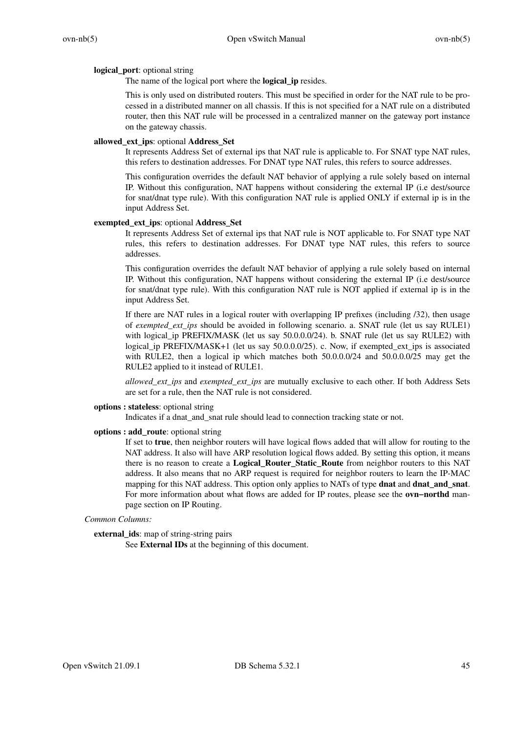### **logical\_port**: optional string

The name of the logical port where the **logical\_ip** resides.

This is only used on distributed routers. This must be specified in order for the NAT rule to be processed in a distributed manner on all chassis. If this is not specified for a NAT rule on a distributed router, then this NAT rule will be processed in a centralized manner on the gateway port instance on the gateway chassis.

### **allowed\_ext\_ips**: optional **Address\_Set**

It represents Address Set of external ips that NAT rule is applicable to. For SNAT type NAT rules, this refers to destination addresses. For DNAT type NAT rules, this refers to source addresses.

This configuration overrides the default NAT behavior of applying a rule solely based on internal IP. Without this configuration, NAT happens without considering the external IP (i.e dest/source for snat/dnat type rule). With this configuration NAT rule is applied ONLY if external ip is in the input Address Set.

### **exempted\_ext\_ips**: optional **Address\_Set**

It represents Address Set of external ips that NAT rule is NOT applicable to. For SNAT type NAT rules, this refers to destination addresses. For DNAT type NAT rules, this refers to source addresses.

This configuration overrides the default NAT behavior of applying a rule solely based on internal IP. Without this configuration, NAT happens without considering the external IP (i.e dest/source for snat/dnat type rule). With this configuration NAT rule is NOT applied if external ip is in the input Address Set.

If there are NAT rules in a logical router with overlapping IP prefixes (including /32), then usage of *exempted\_ext\_ips* should be avoided in following scenario. a. SNAT rule (let us say RULE1) with logical\_ip PREFIX/MASK (let us say 50.0.0.0/24). b. SNAT rule (let us say RULE2) with logical\_ip PREFIX/MASK+1 (let us say 50.0.0.0/25). c. Now, if exempted\_ext\_ips is associated with RULE2, then a logical ip which matches both 50.0.0.0/24 and 50.0.0.0/25 may get the RULE2 applied to it instead of RULE1.

*allowed\_ext\_ips* and *exempted\_ext\_ips* are mutually exclusive to each other. If both Address Sets are set for a rule, then the NAT rule is not considered.

## **options : stateless**: optional string

Indicates if a dnat\_and\_snat rule should lead to connection tracking state or not.

### **options : add\_route**: optional string

If set to **true**, then neighbor routers will have logical flows added that will allow for routing to the NAT address. It also will have ARP resolution logical flows added. By setting this option, it means there is no reason to create a **Logical\_Router\_Static\_Route** from neighbor routers to this NAT address. It also means that no ARP request is required for neighbor routers to learn the IP-MAC mapping for this NAT address. This option only applies to NATs of type **dnat** and **dnat\_and\_snat**. For more information about what flows are added for IP routes, please see the **ovn−northd** manpage section on IP Routing.

## *Common Columns:*

**external\_ids**: map of string-string pairs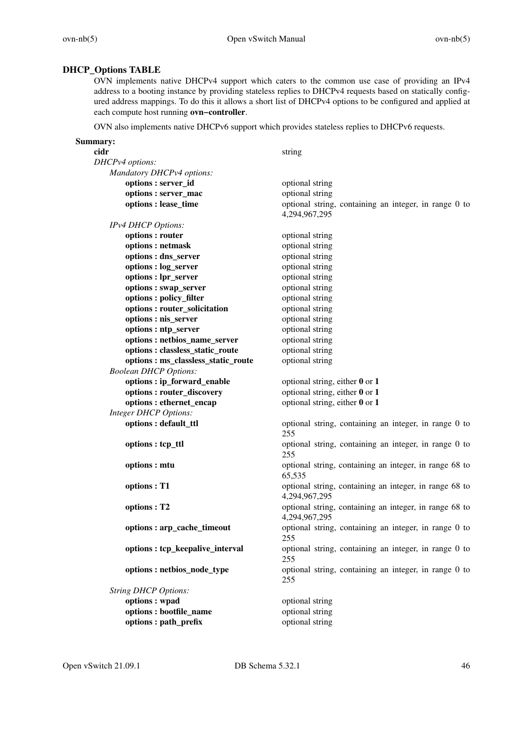# **DHCP\_Options TABLE**

OVN implements native DHCPv4 support which caters to the common use case of providing an IPv4 address to a booting instance by providing stateless replies to DHCPv4 requests based on statically configured address mappings. To do this it allows a short list of DHCPv4 options to be configured and applied at each compute host running **ovn−controller**.

OVN also implements native DHCPv6 support which provides stateless replies to DHCPv6 requests.

| Summary:                                                            |                                                        |
|---------------------------------------------------------------------|--------------------------------------------------------|
| cidr                                                                | string                                                 |
| DHCPv4 options:                                                     |                                                        |
| Mandatory DHCPv4 options:                                           |                                                        |
| options: server_id                                                  | optional string                                        |
| options: server_mac                                                 | optional string                                        |
| options : lease_time                                                | optional string, containing an integer, in range 0 to  |
|                                                                     | 4,294,967,295                                          |
| IPv4 DHCP Options:                                                  |                                                        |
| options: router                                                     | optional string                                        |
| options: netmask                                                    | optional string                                        |
| options : dns_server                                                | optional string                                        |
| options : log_server                                                | optional string                                        |
| options : lpr_server                                                | optional string                                        |
| options: swap_server                                                | optional string                                        |
| options : policy_filter                                             | optional string                                        |
| options: router_solicitation                                        | optional string                                        |
| options : nis_server                                                | optional string                                        |
| options : ntp_server                                                | optional string                                        |
| options: netbios_name_server                                        | optional string                                        |
| options : classless_static_route                                    | optional string<br>optional string                     |
| options : ms_classless_static_route<br><b>Boolean DHCP Options:</b> |                                                        |
| options: ip_forward_enable                                          | optional string, either $0$ or $1$                     |
| options: router_discovery                                           | optional string, either $0$ or $1$                     |
| options: ethernet_encap                                             | optional string, either $0$ or $1$                     |
| <b>Integer DHCP Options:</b>                                        |                                                        |
| options : default_ttl                                               | optional string, containing an integer, in range 0 to  |
|                                                                     | 255                                                    |
| options : tcp_ttl                                                   | optional string, containing an integer, in range 0 to  |
|                                                                     | 255                                                    |
| options : mtu                                                       | optional string, containing an integer, in range 68 to |
|                                                                     | 65,535                                                 |
| options: T1                                                         | optional string, containing an integer, in range 68 to |
|                                                                     | 4,294,967,295                                          |
| options: T2                                                         | optional string, containing an integer, in range 68 to |
|                                                                     | 4,294,967,295                                          |
| options: arp_cache_timeout                                          | optional string, containing an integer, in range 0 to  |
|                                                                     | 255                                                    |
| options: tcp_keepalive_interval                                     | optional string, containing an integer, in range 0 to  |
|                                                                     | 255                                                    |
| options: netbios_node_type                                          | optional string, containing an integer, in range 0 to  |
|                                                                     | 255                                                    |
| <b>String DHCP Options:</b>                                         |                                                        |
| options: wpad                                                       | optional string                                        |
| options : bootfile_name                                             | optional string                                        |
| options: path_prefix                                                | optional string                                        |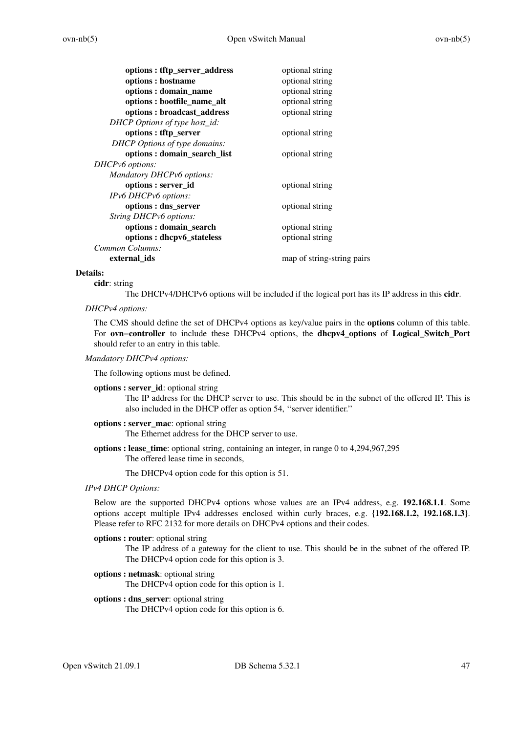| options: tftp_server_address  | optional string            |
|-------------------------------|----------------------------|
| options : hostname            | optional string            |
| options: domain_name          | optional string            |
| options : bootfile_name_alt   | optional string            |
| options: broadcast_address    | optional string            |
| DHCP Options of type host_id: |                            |
| options: tftp_server          | optional string            |
| DHCP Options of type domains: |                            |
| options: domain_search_list   | optional string            |
| DHCPv6 options:               |                            |
| Mandatory DHCPv6 options:     |                            |
| options : server_id           | optional string            |
| IPv6 DHCPv6 options:          |                            |
| options : dns_server          | optional string            |
| String DHCPv6 options:        |                            |
| options : domain_search       | optional string            |
| options: dhcpv6_stateless     | optional string            |
| Common Columns:               |                            |
| external ids                  | map of string-string pairs |
|                               |                            |

### **Details:**

### **cidr**: string

The DHCPv4/DHCPv6 options will be included if the logical port has its IP address in this **cidr**.

## *DHCPv4 options:*

The CMS should define the set of DHCPv4 options as key/value pairs in the **options** column of this table. For **ovn−controller** to include these DHCPv4 options, the **dhcpv4\_options** of **Logical\_Switch\_Port** should refer to an entry in this table.

### *Mandatory DHCPv4 options:*

The following options must be defined.

### **options : server\_id**: optional string

The IP address for the DHCP server to use. This should be in the subnet of the offered IP. This is also included in the DHCP offer as option 54, ''server identifier.''

### **options : server\_mac**: optional string

The Ethernet address for the DHCP server to use.

**options : lease\_time**: optional string, containing an integer, in range 0 to 4,294,967,295 The offered lease time in seconds,

The DHCPv4 option code for this option is 51.

### *IPv4 DHCP Options:*

Below are the supported DHCPv4 options whose values are an IPv4 address, e.g. **192.168.1.1**. Some options accept multiple IPv4 addresses enclosed within curly braces, e.g. **{192.168.1.2, 192.168.1.3}**. Please refer to RFC 2132 for more details on DHCPv4 options and their codes.

## **options : router**: optional string

The IP address of a gateway for the client to use. This should be in the subnet of the offered IP. The DHCPv4 option code for this option is 3.

### **options : netmask**: optional string

The DHCPv4 option code for this option is 1.

## **options : dns\_server**: optional string

The DHCPv4 option code for this option is 6.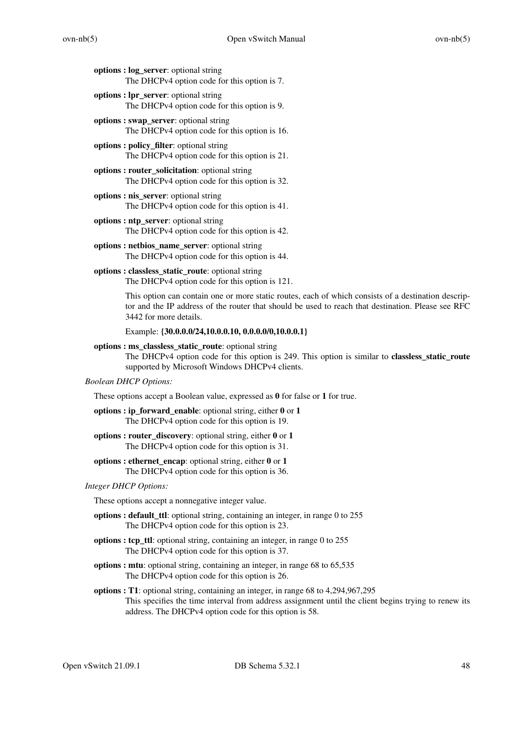- **options : log\_server**: optional string The DHCPv4 option code for this option is 7.
- **options : lpr\_server**: optional string The DHCPv4 option code for this option is 9.
- **options : swap\_server**: optional string The DHCPv4 option code for this option is 16.
- **options : policy\_filter**: optional string The DHCPv4 option code for this option is 21.
- **options : router\_solicitation**: optional string The DHCPv4 option code for this option is 32.
- **options : nis\_server**: optional string The DHCPv4 option code for this option is 41.
- **options : ntp\_server**: optional string The DHCPv4 option code for this option is 42.
- **options : netbios\_name\_server**: optional string The DHCPv4 option code for this option is 44.
- **options : classless\_static\_route**: optional string The DHCPv4 option code for this option is 121.

This option can contain one or more static routes, each of which consists of a destination descriptor and the IP address of the router that should be used to reach that destination. Please see RFC 3442 for more details.

Example: **{30.0.0.0/24,10.0.0.10, 0.0.0.0/0,10.0.0.1}**

**options : ms\_classless\_static\_route**: optional string

The DHCPv4 option code for this option is 249. This option is similar to **classless\_static\_route** supported by Microsoft Windows DHCPv4 clients.

# *Boolean DHCP Options:*

These options accept a Boolean value, expressed as **0** for false or **1** for true.

**options : ip\_forward\_enable**: optional string, either **0** or **1** The DHCPv4 option code for this option is 19.

- **options : router\_discovery**: optional string, either **0** or **1** The DHCPv4 option code for this option is 31.
- **options : ethernet\_encap**: optional string, either **0** or **1** The DHCPv4 option code for this option is 36.

### *Integer DHCP Options:*

These options accept a nonnegative integer value.

- **options : default\_ttl**: optional string, containing an integer, in range 0 to 255 The DHCPv4 option code for this option is 23.
- **options : tcp\_ttl**: optional string, containing an integer, in range 0 to 255 The DHCPv4 option code for this option is 37.
- **options : mtu**: optional string, containing an integer, in range 68 to 65,535 The DHCPv4 option code for this option is 26.
- **options : T1**: optional string, containing an integer, in range 68 to 4,294,967,295 This specifies the time interval from address assignment until the client begins trying to renew its address. The DHCPv4 option code for this option is 58.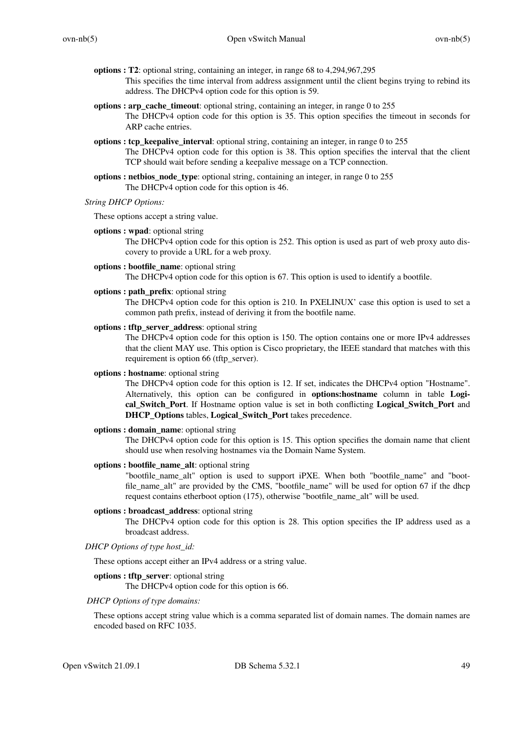- **options : T2**: optional string, containing an integer, in range 68 to 4,294,967,295 This specifies the time interval from address assignment until the client begins trying to rebind its address. The DHCPv4 option code for this option is 59.
- **options : arp\_cache\_timeout**: optional string, containing an integer, in range 0 to 255 The DHCPv4 option code for this option is 35. This option specifies the timeout in seconds for ARP cache entries.
- **options : tcp\_keepalive\_interval**: optional string, containing an integer, in range 0 to 255 The DHCPv4 option code for this option is 38. This option specifies the interval that the client TCP should wait before sending a keepalive message on a TCP connection.
- **options : netbios** node type: optional string, containing an integer, in range 0 to 255 The DHCPv4 option code for this option is 46.
- *String DHCP Options:*

These options accept a string value.

**options : wpad**: optional string

The DHCPv4 option code for this option is 252. This option is used as part of web proxy auto discovery to provide a URL for a web proxy.

**options : bootfile\_name**: optional string

The DHCPv4 option code for this option is 67. This option is used to identify a bootfile.

**options : path\_prefix**: optional string

The DHCPv4 option code for this option is 210. In PXELINUX' case this option is used to set a common path prefix, instead of deriving it from the bootfile name.

**options : tftp\_server\_address**: optional string

The DHCPv4 option code for this option is 150. The option contains one or more IPv4 addresses that the client MAY use. This option is Cisco proprietary, the IEEE standard that matches with this requirement is option 66 (tftp\_server).

**options : hostname**: optional string

The DHCPv4 option code for this option is 12. If set, indicates the DHCPv4 option "Hostname". Alternatively, this option can be configured in **options:hostname** column in table **Logical\_Switch\_Port**. If Hostname option value is set in both conflicting **Logical\_Switch\_Port** and **DHCP\_Options** tables, **Logical\_Switch\_Port** takes precedence.

**options : domain\_name**: optional string

The DHCPv4 option code for this option is 15. This option specifies the domain name that client should use when resolving hostnames via the Domain Name System.

**options : bootfile\_name\_alt**: optional string

"bootfile\_name\_alt" option is used to support iPXE. When both "bootfile\_name" and "bootfile name alt" are provided by the CMS, "bootfile name" will be used for option 67 if the dhcp request contains etherboot option (175), otherwise "bootfile\_name\_alt" will be used.

**options : broadcast\_address**: optional string

The DHCPv4 option code for this option is 28. This option specifies the IP address used as a broadcast address.

*DHCP Options of type host\_id:*

These options accept either an IPv4 address or a string value.

# **options : tftp\_server**: optional string

The DHCPv4 option code for this option is 66.

*DHCP Options of type domains:*

These options accept string value which is a comma separated list of domain names. The domain names are encoded based on RFC 1035.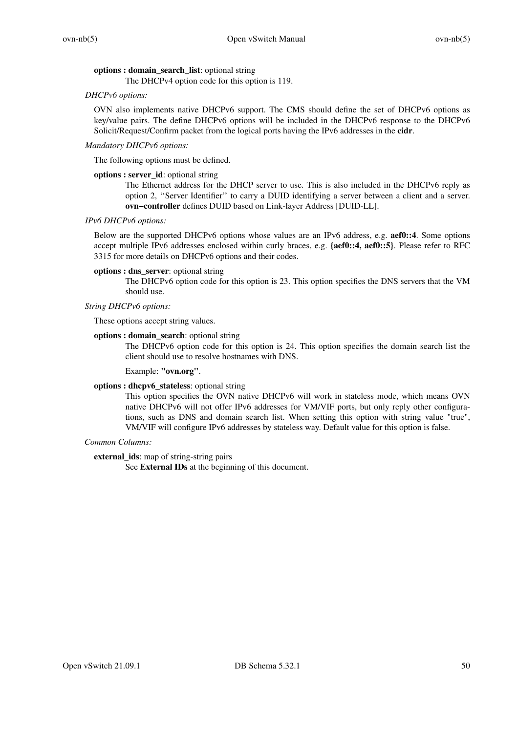# **options : domain\_search\_list**: optional string

The DHCPv4 option code for this option is 119.

# *DHCPv6 options:*

OVN also implements native DHCPv6 support. The CMS should define the set of DHCPv6 options as key/value pairs. The define DHCPv6 options will be included in the DHCPv6 response to the DHCPv6 Solicit/Request/Confirm packet from the logical ports having the IPv6 addresses in the **cidr**.

# *Mandatory DHCPv6 options:*

The following options must be defined.

# **options : server\_id**: optional string

The Ethernet address for the DHCP server to use. This is also included in the DHCPv6 reply as option 2, ''Server Identifier'' to carry a DUID identifying a server between a client and a server. **ovn−controller** defines DUID based on Link-layer Address [DUID-LL].

# *IPv6 DHCPv6 options:*

Below are the supported DHCPv6 options whose values are an IPv6 address, e.g. **aef0::4**. Some options accept multiple IPv6 addresses enclosed within curly braces, e.g. **{aef0::4, aef0::5}**. Please refer to RFC 3315 for more details on DHCPv6 options and their codes.

# **options : dns\_server**: optional string

The DHCPv6 option code for this option is 23. This option specifies the DNS servers that the VM should use.

# *String DHCPv6 options:*

These options accept string values.

# **options : domain\_search**: optional string

The DHCPv6 option code for this option is 24. This option specifies the domain search list the client should use to resolve hostnames with DNS.

## Example: **"ovn.org"**.

# **options : dhcpv6\_stateless**: optional string

This option specifies the OVN native DHCPv6 will work in stateless mode, which means OVN native DHCPv6 will not offer IPv6 addresses for VM/VIF ports, but only reply other configurations, such as DNS and domain search list. When setting this option with string value "true", VM/VIF will configure IPv6 addresses by stateless way. Default value for this option is false.

## *Common Columns:*

**external\_ids**: map of string-string pairs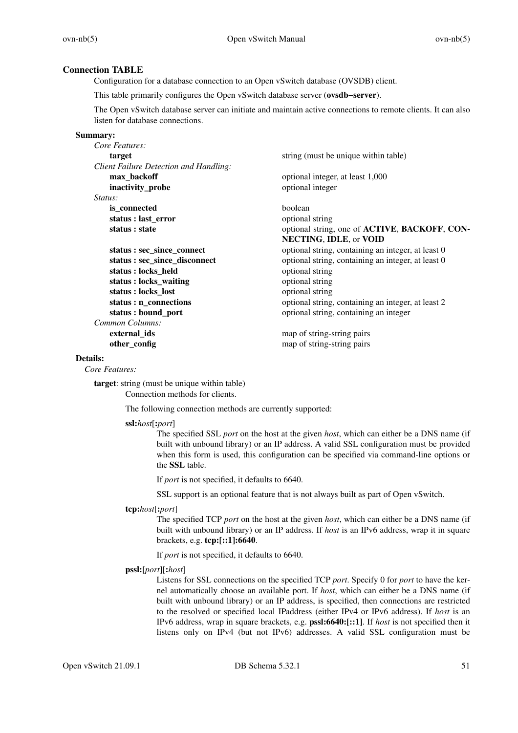# **Connection TABLE**

Configuration for a database connection to an Open vSwitch database (OVSDB) client.

This table primarily configures the Open vSwitch database server (**ovsdb−server**).

The Open vSwitch database server can initiate and maintain active connections to remote clients. It can also listen for database connections.

### **Summary:**

| Core Features:                         |                                                    |
|----------------------------------------|----------------------------------------------------|
| target                                 | string (must be unique within table)               |
| Client Failure Detection and Handling: |                                                    |
| max_backoff                            | optional integer, at least 1,000                   |
| inactivity_probe                       | optional integer                                   |
| <i>Status:</i>                         |                                                    |
| is connected                           | boolean                                            |
| status : last error                    | optional string                                    |
| status : state                         | optional string, one of ACTIVE, BACKOFF, CON-      |
|                                        | NECTING, IDLE, or VOID                             |
| status : sec_since_connect             | optional string, containing an integer, at least 0 |
| status : sec_since_disconnect          | optional string, containing an integer, at least 0 |
| status: locks_held                     | optional string                                    |
| status : locks_waiting                 | optional string                                    |
| status : locks_lost                    | optional string                                    |
| status : n_connections                 | optional string, containing an integer, at least 2 |
| status : bound_port                    | optional string, containing an integer             |
| Common Columns:                        |                                                    |
| external ids                           | map of string-string pairs                         |
| other_config                           | map of string-string pairs                         |
|                                        |                                                    |

# **Details:**

*Core Features:*

**target**: string (must be unique within table) Connection methods for clients.

The following connection methods are currently supported:

### **ssl:***host*[**:***port*]

The specified SSL *port* on the host at the given *host*, which can either be a DNS name (if built with unbound library) or an IP address. A valid SSL configuration must be provided when this form is used, this configuration can be specified via command-line options or the **SSL** table.

If *port* is not specified, it defaults to 6640.

SSL support is an optional feature that is not always built as part of Open vSwitch.

## **tcp:***host*[**:***port*]

The specified TCP *port* on the host at the given *host*, which can either be a DNS name (if built with unbound library) or an IP address. If *host* is an IPv6 address, wrap it in square brackets, e.g. **tcp:[::1]:6640**.

If *port* is not specified, it defaults to 6640.

## **pssl:**[*port*][**:***host*]

Listens for SSL connections on the specified TCP *port*. Specify 0 for *port* to have the kernel automatically choose an available port. If *host*, which can either be a DNS name (if built with unbound library) or an IP address, is specified, then connections are restricted to the resolved or specified local IPaddress (either IPv4 or IPv6 address). If *host* is an IPv6 address, wrap in square brackets, e.g. **pssl:6640:[::1]**. If *host* is not specified then it listens only on IPv4 (but not IPv6) addresses. A valid SSL configuration must be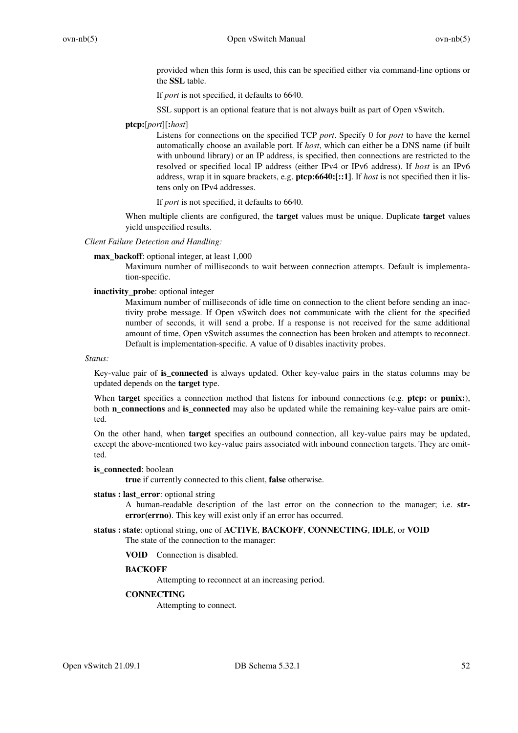provided when this form is used, this can be specified either via command-line options or the **SSL** table.

If *port* is not specified, it defaults to 6640.

SSL support is an optional feature that is not always built as part of Open vSwitch.

### **ptcp:**[*port*][**:***host*]

Listens for connections on the specified TCP *port*. Specify 0 for *port* to have the kernel automatically choose an available port. If *host*, which can either be a DNS name (if built with unbound library) or an IP address, is specified, then connections are restricted to the resolved or specified local IP address (either IPv4 or IPv6 address). If *host* is an IPv6 address, wrap it in square brackets, e.g. **ptcp:6640:[::1]**. If *host* is not specified then it listens only on IPv4 addresses.

If *port* is not specified, it defaults to 6640.

When multiple clients are configured, the **target** values must be unique. Duplicate **target** values yield unspecified results.

## *Client Failure Detection and Handling:*

**max** backoff: optional integer, at least 1,000

Maximum number of milliseconds to wait between connection attempts. Default is implementation-specific.

### **inactivity\_probe**: optional integer

Maximum number of milliseconds of idle time on connection to the client before sending an inactivity probe message. If Open vSwitch does not communicate with the client for the specified number of seconds, it will send a probe. If a response is not received for the same additional amount of time, Open vSwitch assumes the connection has been broken and attempts to reconnect. Default is implementation-specific. A value of 0 disables inactivity probes.

### *Status:*

Key-value pair of **is\_connected** is always updated. Other key-value pairs in the status columns may be updated depends on the **target** type.

When **target** specifies a connection method that listens for inbound connections (e.g. **ptcp:** or **punix:**), both **n\_connections** and **is\_connected** may also be updated while the remaining key-value pairs are omitted.

On the other hand, when **target** specifies an outbound connection, all key-value pairs may be updated, except the above-mentioned two key-value pairs associated with inbound connection targets. They are omitted.

### **is** connected: boolean

**true** if currently connected to this client, **false** otherwise.

### **status : last\_error**: optional string

A human-readable description of the last error on the connection to the manager; i.e. **strerror(errno)**. This key will exist only if an error has occurred.

# **status : state**: optional string, one of **ACTIVE**, **BACKOFF**, **CONNECTING**, **IDLE**, or **VOID**

The state of the connection to the manager:

**VOID** Connection is disabled.

## **BACKOFF**

Attempting to reconnect at an increasing period.

# **CONNECTING**

Attempting to connect.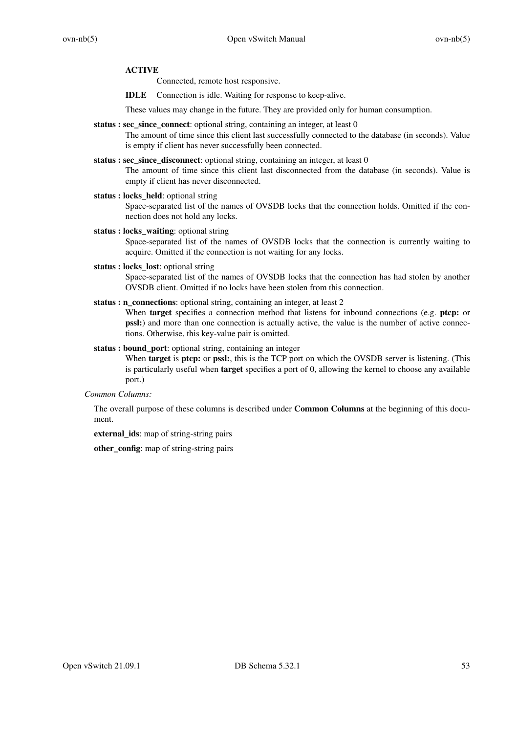### **ACTIVE**

Connected, remote host responsive.

**IDLE** Connection is idle. Waiting for response to keep-alive.

These values may change in the future. They are provided only for human consumption.

**status : sec\_since\_connect**: optional string, containing an integer, at least 0

The amount of time since this client last successfully connected to the database (in seconds). Value is empty if client has never successfully been connected.

- **status : sec\_since\_disconnect**: optional string, containing an integer, at least 0 The amount of time since this client last disconnected from the database (in seconds). Value is empty if client has never disconnected.
- **status : locks\_held**: optional string Space-separated list of the names of OVSDB locks that the connection holds. Omitted if the connection does not hold any locks.
- **status : locks\_waiting**: optional string Space-separated list of the names of OVSDB locks that the connection is currently waiting to acquire. Omitted if the connection is not waiting for any locks.
- **status : locks\_lost**: optional string Space-separated list of the names of OVSDB locks that the connection has had stolen by another OVSDB client. Omitted if no locks have been stolen from this connection.
- status : n\_connections: optional string, containing an integer, at least 2 When **target** specifies a connection method that listens for inbound connections (e.g. **ptcp:** or

**pssl:**) and more than one connection is actually active, the value is the number of active connections. Otherwise, this key-value pair is omitted.

**status : bound\_port**: optional string, containing an integer When **target** is **ptcp:** or **pssl:**, this is the TCP port on which the OVSDB server is listening. (This is particularly useful when **target** specifies a port of 0, allowing the kernel to choose any available port.)

*Common Columns:*

The overall purpose of these columns is described under **Common Columns** at the beginning of this document.

**external\_ids**: map of string-string pairs

**other** config: map of string-string pairs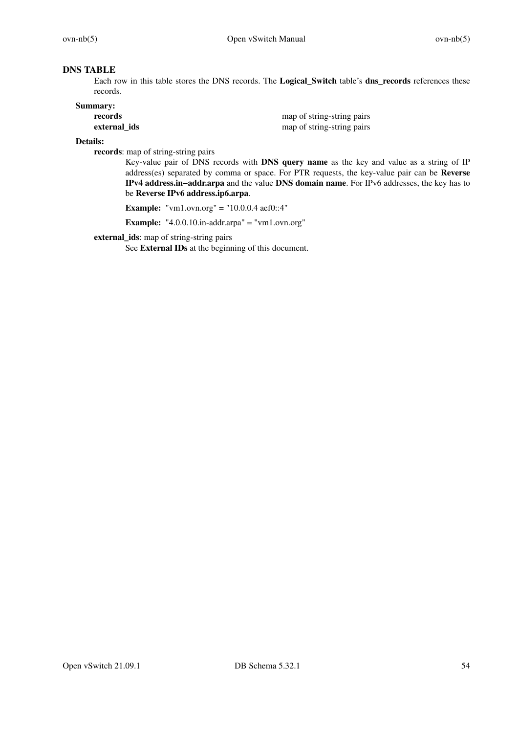# **DNS TABLE**

Each row in this table stores the DNS records. The **Logical\_Switch** table's **dns\_records** references these records.

# **Summary:**

| records      | map of string-string pairs |
|--------------|----------------------------|
| external ids | map of string-string pairs |

## **Details:**

**records**: map of string-string pairs

Key-value pair of DNS records with DNS query name as the key and value as a string of IP address(es) separated by comma or space. For PTR requests, the key-value pair can be **Reverse IPv4 address.in−addr.arpa** and the value **DNS domain name**. For IPv6 addresses, the key has to be **Reverse IPv6 address.ip6.arpa**.

**Example:** "vm1.ovn.org" = "10.0.0.4 aef0::4"

**Example:** "4.0.0.10.in-addr.arpa" = "vm1.ovn.org"

**external\_ids**: map of string-string pairs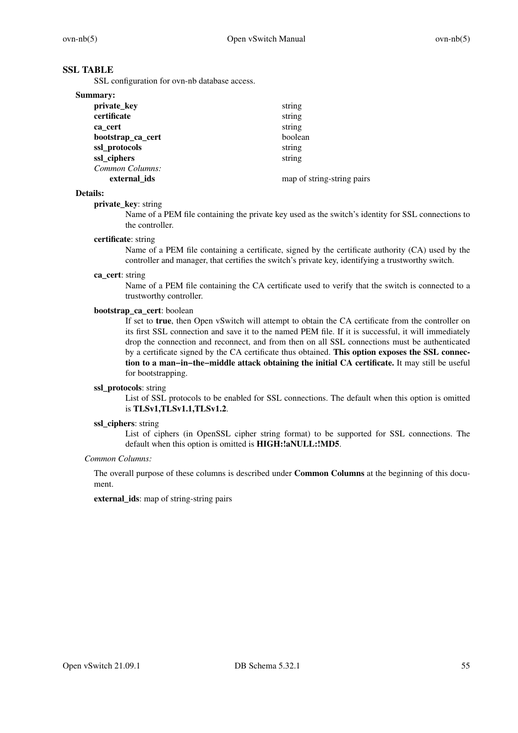# **SSL TABLE**

SSL configuration for ovn-nb database access.

| string                     |
|----------------------------|
| string                     |
| string                     |
| boolean                    |
| string                     |
| string                     |
|                            |
| map of string-string pairs |
|                            |

### **Details:**

### **private\_key**: string

Name of a PEM file containing the private key used as the switch's identity for SSL connections to the controller.

### **certificate**: string

Name of a PEM file containing a certificate, signed by the certificate authority (CA) used by the controller and manager, that certifies the switch's private key, identifying a trustworthy switch.

### **ca\_cert**: string

Name of a PEM file containing the CA certificate used to verify that the switch is connected to a trustworthy controller.

## **bootstrap\_ca\_cert**: boolean

If set to **true**, then Open vSwitch will attempt to obtain the CA certificate from the controller on its first SSL connection and save it to the named PEM file. If it is successful, it will immediately drop the connection and reconnect, and from then on all SSL connections must be authenticated by a certificate signed by the CA certificate thus obtained. **This option exposes the SSL connection to a man−in−the−middle attack obtaining the initial CA certificate.** It may still be useful for bootstrapping.

## **ssl\_protocols**: string

List of SSL protocols to be enabled for SSL connections. The default when this option is omitted is **TLSv1,TLSv1.1,TLSv1.2**.

### **ssl\_ciphers**: string

List of ciphers (in OpenSSL cipher string format) to be supported for SSL connections. The default when this option is omitted is **HIGH:!aNULL:!MD5**.

## *Common Columns:*

The overall purpose of these columns is described under **Common Columns** at the beginning of this document.

**external\_ids**: map of string-string pairs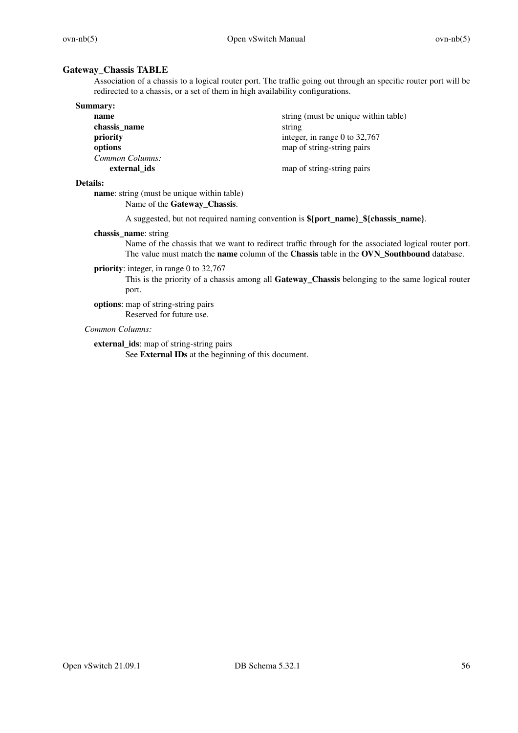# **Gateway\_Chassis TABLE**

Association of a chassis to a logical router port. The traffic going out through an specific router port will be redirected to a chassis, or a set of them in high availability configurations.

| <b>Summary:</b> |                                      |
|-----------------|--------------------------------------|
| name            | string (must be unique within table) |
| chassis_name    | string                               |
| priority        | integer, in range 0 to $32,767$      |
| options         | map of string-string pairs           |
| Common Columns: |                                      |
| external ids    | map of string-string pairs           |

### **Details:**

**name**: string (must be unique within table) Name of the **Gateway\_Chassis**.

A suggested, but not required naming convention is **\${port\_name}\_\${chassis\_name}**.

## **chassis\_name**: string

Name of the chassis that we want to redirect traffic through for the associated logical router port. The value must match the **name** column of the **Chassis** table in the **OVN\_Southbound** database.

## **priority**: integer, in range 0 to 32,767

This is the priority of a chassis among all **Gateway\_Chassis** belonging to the same logical router port.

**options**: map of string-string pairs Reserved for future use.

## *Common Columns:*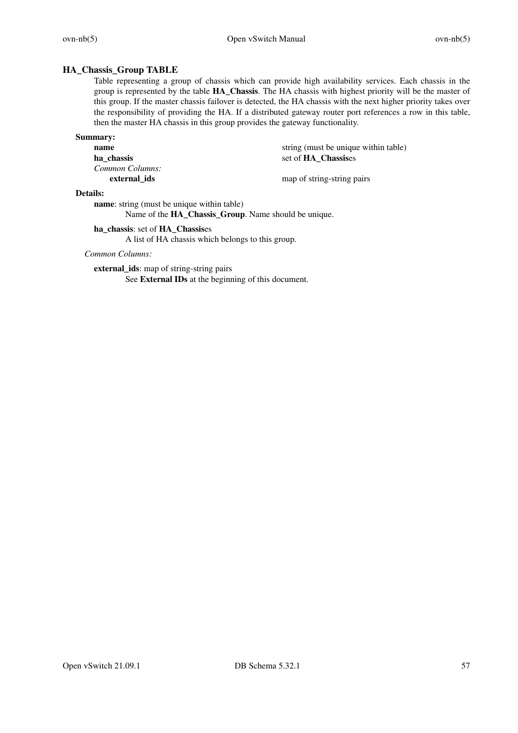# **HA\_Chassis\_Group TABLE**

Table representing a group of chassis which can provide high availability services. Each chassis in the group is represented by the table **HA\_Chassis**. The HA chassis with highest priority will be the master of this group. If the master chassis failover is detected, the HA chassis with the next higher priority takes over the responsibility of providing the HA. If a distributed gateway router port references a row in this table, then the master HA chassis in this group provides the gateway functionality.

## **Summary:**

**ha\_chassis** set of **HA\_Chassis**es *Common Columns:* **external ids** map of string-string pairs

**name** string (must be unique within table)

## **Details:**

**name**: string (must be unique within table)

Name of the **HA\_Chassis\_Group**. Name should be unique.

## **ha\_chassis**: set of **HA\_Chassis**es

A list of HA chassis which belongs to this group.

# *Common Columns:*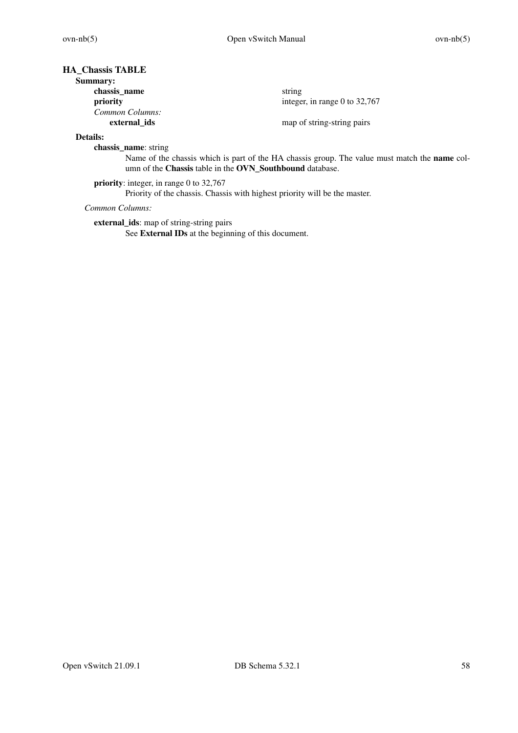# **HA\_Chassis TABLE**

| <b>Summary:</b> |                                 |
|-----------------|---------------------------------|
| chassis_name    | string                          |
| priority        | integer, in range 0 to $32,767$ |
| Common Columns: |                                 |
| external ids    | map of string-string pairs      |

## **Details:**

**chassis\_name**: string

Name of the chassis which is part of the HA chassis group. The value must match the **name** column of the **Chassis** table in the **OVN\_Southbound** database.

**priority**: integer, in range 0 to 32,767 Priority of the chassis. Chassis with highest priority will be the master.

*Common Columns:*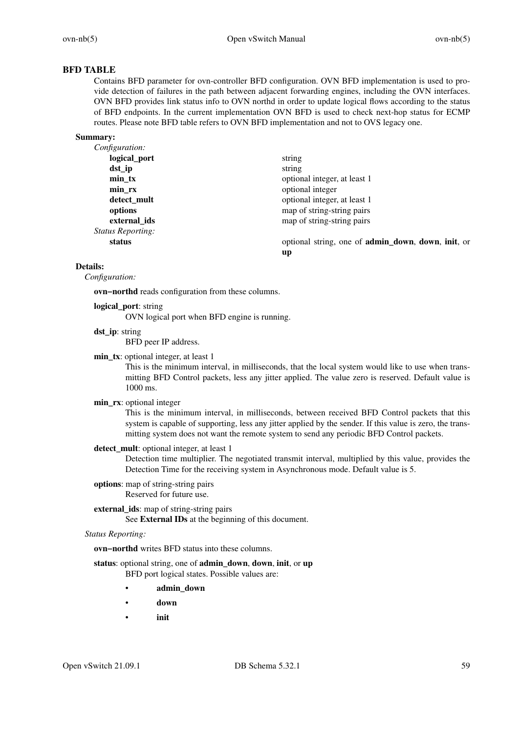$down$ , *init*, or

# **BFD TABLE**

Contains BFD parameter for ovn-controller BFD configuration. OVN BFD implementation is used to provide detection of failures in the path between adjacent forwarding engines, including the OVN interfaces. OVN BFD provides link status info to OVN northd in order to update logical flows according to the status of BFD endpoints. In the current implementation OVN BFD is used to check next-hop status for ECMP routes. Please note BFD table refers to OVN BFD implementation and not to OVS legacy one.

### **Summary:**

| Configuration:           |                                             |
|--------------------------|---------------------------------------------|
| logical_port             | string                                      |
| $dst$ _ip                | string                                      |
| $min_{x}$                | optional integer, at least 1                |
| min_rx                   | optional integer                            |
| detect_mult              | optional integer, at least 1                |
| options                  | map of string-string pairs                  |
| external ids             | map of string-string pairs                  |
| <i>Status Reporting:</i> |                                             |
| status                   | optional string, one of <b>admin_down</b> , |
|                          | up                                          |

## **Details:**

*Configuration:*

**ovn−northd** reads configuration from these columns.

### **logical\_port**: string OVN logical port when BFD engine is running.

**dst\_ip**: string

BFD peer IP address.

**min\_tx**: optional integer, at least 1

This is the minimum interval, in milliseconds, that the local system would like to use when transmitting BFD Control packets, less any jitter applied. The value zero is reserved. Default value is 1000 ms.

### **min\_rx**: optional integer

This is the minimum interval, in milliseconds, between received BFD Control packets that this system is capable of supporting, less any jitter applied by the sender. If this value is zero, the transmitting system does not want the remote system to send any periodic BFD Control packets.

# detect mult: optional integer, at least 1

Detection time multiplier. The negotiated transmit interval, multiplied by this value, provides the Detection Time for the receiving system in Asynchronous mode. Default value is 5.

### **options**: map of string-string pairs Reserved for future use.

# **external\_ids**: map of string-string pairs

See **External IDs** at the beginning of this document.

### *Status Reporting:*

**ovn−northd** writes BFD status into these columns.

**status**: optional string, one of **admin\_down**, **down**, **init**, or **up** BFD port logical states. Possible values are:

- **admin\_down**
- **down**
- **init**